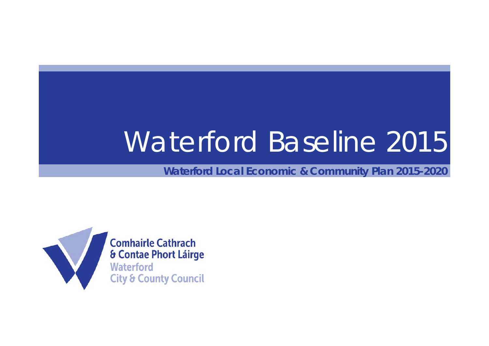## Waterford Baseline 2015

**Waterford Local Economic & Community Plan 2015-2020**

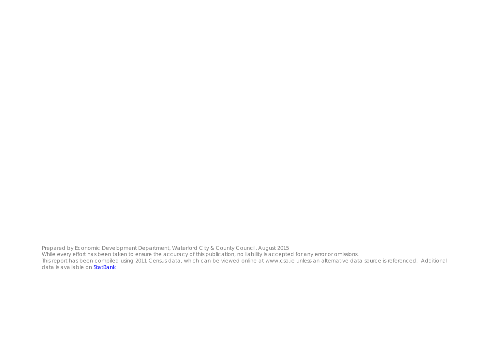Prepared by Economic Development Department, Waterford City & County Council, August 2015 While every effort has been taken to ensure the accuracy of this publication, no liability is accepted for any error or omissions. This report has been compiled using 2011 Census data, which can be viewed online at www.cso.ie unless an alternative data source is referenced. Additional data is available on **StatBank**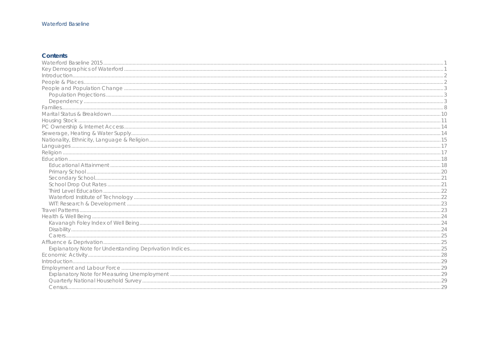#### **Waterford Baseline**

## Contents

| Introduction. 29 |  |
|------------------|--|
|                  |  |
|                  |  |
|                  |  |
|                  |  |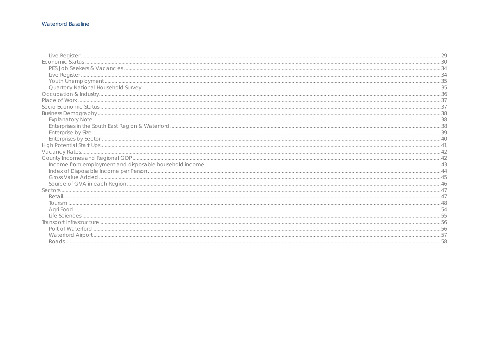#### Waterford Baseline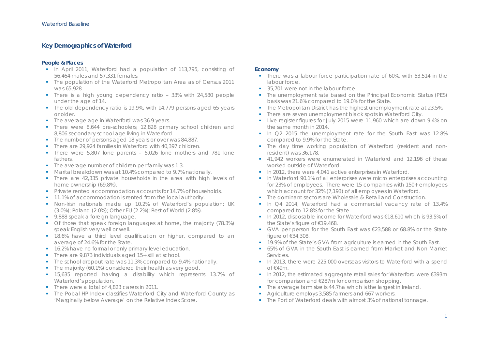#### **Key Demographics of Waterford**

#### **People & Places**

- **IF** In April 2011, Waterford had a population of 113,795, consisting of 56,464 males and 57,331 females.
- **The population of the Waterford Metropolitan Area as of Census 2011** was 65,928.
- **There is a high young dependency ratio 33% with 24,580 people** under the age of 14.
- **The old dependency ratio is 19.9%, with 14,779 persons aged 65 years** or older.
- **The average age in Waterford was 36.9 years.**
- **There were 8,644 pre-schoolers, 12,828 primary school children and** 8,806 secondary school age living in Waterford.
- The number of persons aged 18 years or over was 84,887.
- **There are 29,924 families in Waterford with 40,397 children.**
- There were 5,807 lone parents 5,026 lone mothers and 781 lone fathers.
- **The average number of children per family was 1.3.**
- Marital breakdown was at 10.4% compared to 9.7% nationally.
- **There are 42,335 private households in the area with high levels of** home ownership (69.8%).
- Private rented accommodation accounts for 14.7% of households.
- **11.1% of accommodation is rented from the local authority.**
- Non-Irish nationals made up 10.2% of Waterford's population: UK (3.0%); Poland (2.0%); Other EU (2.2%); Rest of World (2.8%).
- 9,888 speak a foreign language.
- Of those that speak foreign languages at home, the majority (78.3%) speak English very well or well.
- 18.6% have a third level qualification or higher, compared to an average of 24.6% for the State.
- **16.2% have no formal or only primary level education.**
- **There are 9,873 individuals aged 15+ still at school.**
- The school dropout rate was 11.3% compared to 9.4% nationally.
- **The majority (60.1%) considered their health as very good.**
- 15,635 reported having a disability which represents 13.7% of Waterford's population.
- There were a total of 4,823 carers in 2011.
- The Pobal HP Index classifies Waterford City and Waterford County as 'Marginally below Average' on the Relative Index Score.

#### **Economy**

- **There was a labour force participation rate of 60%, with 53,514 in the** labour force.
- г 35,701 were not in the labour force.
- × The unemployment rate based on the Principal Economic Status (PES) basis was 21.6% compared to 19.0% for the State.
- **The Metropolitan District has the highest unemployment rate at 23.5%.**
- ò. There are seven unemployment black spots in Waterford City.
- $\blacksquare$  Live register figures for July 2015 were 11,960 which are down 9.4% on the same month in 2014.
- In  $Q2$  2015 the unemployment rate for the South East was 12.8% compared to 9.9% for the State.
- **The day time working population of Waterford (resident and non**resident) was 36,178.
- 41,942 workers were enumerated in Waterford and 12,196 of these worked outside of Waterford.
- In 2012, there were 4,041 active enterprises in Waterford.
- **IF** In Waterford 90.1% of all enterprises were micro enterprises accounting for 23% of employees. There were 15 companies with 150+ employees which account for 32% (7,193) of all employees in Waterford.
- г The dominant sectors are Wholesale & Retail and Construction.
- г In Q4 2014, Waterford had a commercial vacancy rate of 13.4% compared to 12.8% for the State.
- In 2012, disposable income for Waterford was €18,610 which is 93.5% of the State's figure of €19,468.
- GVA per person for the South East was €23,588 or 68.8% or the State figure of €34,308.
- **19.9% of the State's GVA from agriculture is earned in the South East.**
- ۳ 65% of GVA in the South East is earned from Market and Non Market Services.
- In 2013, there were 225,000 overseas visitors to Waterford with a spend of €49m.
- In 2012, the estimated aggregate retail sales for Waterford were €393m for comparison and €287m for comparison shopping.
- г The average farm size is 44.7ha which is the largest in Ireland.
- ۳ Agriculture employs 3,585 farmers and 667 workers.
- **The Port of Waterford deals with almost 3% of national tonnage.**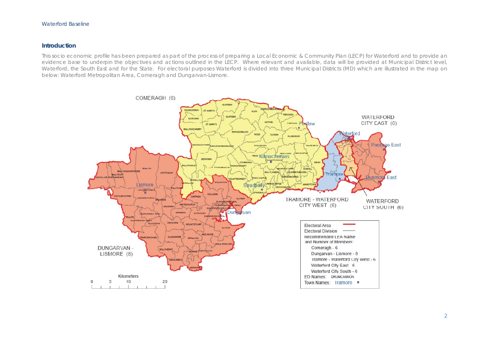#### Waterford Baseline

#### **Introduction**

This socio economic profile has been prepared as part of the process of preparing a Local Economic & Community Plan (LECP) for Waterford and to provide an evidence base to underpin the objectives and actions outlined in the LECP. Where relevant and available, data will be provided at Municipal District level, Waterford, the South East and for the State. For electoral purposes Waterford is divided into three Municipal Districts (MD) which are illustrated in the map on below: Waterford Metropolitan Area, Comeragh and Dungarvan-Lismore.

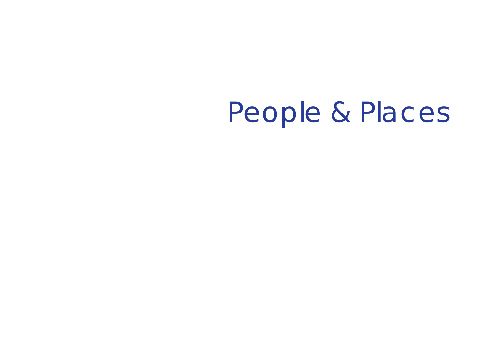People & Places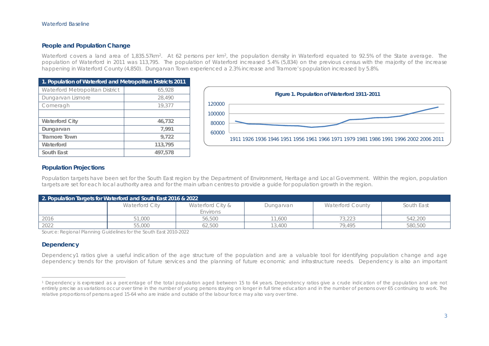#### **People and Population Change**

Waterford covers a land area of 1,835.57km<sup>2</sup>. At 62 persons per km<sup>2</sup>, the population density in Waterford equated to 92.5% of the State average. The population of Waterford in 2011 was 113,795. The population of Waterford increased 5.4% (5,834) on the previous census with the majority of the increase happening in Waterford County (4,850). Dungarvan Town experienced a 2.3% increase and Tramore's population increased by 5.8%.

| 1. Population of Waterford and Metropolitan Districts 2011 |         |  |  |
|------------------------------------------------------------|---------|--|--|
| Waterford Metropolitan District                            | 65,928  |  |  |
| Dungarvan Lismore                                          | 28,490  |  |  |
| Comeragh                                                   | 19,377  |  |  |
|                                                            |         |  |  |
| <b>Waterford City</b>                                      | 46,732  |  |  |
| Dungarvan                                                  | 7,991   |  |  |
| <b>Tramore Town</b>                                        | 9,722   |  |  |
| Waterford                                                  | 113,795 |  |  |
| South East                                                 | 497.578 |  |  |



#### **Population Projections**

Population targets have been set for the South East region by the Department of Environment, Heritage and Local Government. Within the region, population targets are set for each local authority area and for the main urban centres to provide a guide for population growth in the region.

| 2. Population Targets for Waterford and South East 2016 & 2022 |                |                              |           |                         |            |
|----------------------------------------------------------------|----------------|------------------------------|-----------|-------------------------|------------|
|                                                                | Waterford City | Waterford City &<br>Environs | Dungarvan | <b>Waterford County</b> | South East |
| 2016                                                           | 51,000         | 56,500                       | 11.600    | 73,223                  | 542,200    |
| 2022                                                           | 55,000         | 62,500                       | 13,400    | 79.495                  | 580,500    |

Source: Regional Planning Guidelines for the South East 2010-2022

#### **Dependency**

Dependency1 ratios give a useful indication of the age structure of the population and are a valuable tool for identifying population change and age dependency trends for the provision of future services and the planning of future economic and infrastructure needs. Dependency is also an important

<sup>1</sup> Dependency is expressed as a percentage of the total population aged between 15 to 64 years. Dependency ratios give a crude indication of the population and are not entirely precise as variations occur over time in the number of young persons staying on longer in full time education and in the number of persons over 65 continuing to work. The relative proportions of persons aged 15-64 who are inside and outside of the labour force may also vary over time.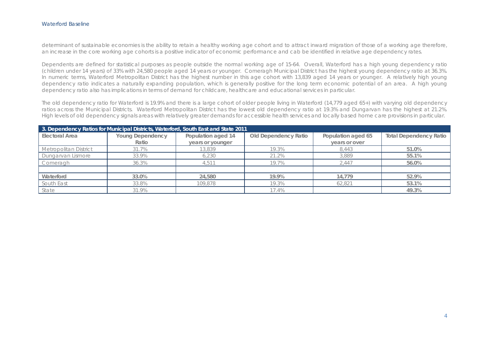#### Waterford Baseline

determinant of sustainable economies is the ability to retain a healthy working age cohort and to attract inward migration of those of a working age therefore, an increase in the core working age cohorts is a positive indicator of economic performance and cab be identified in relative age dependency rates.

Dependents are defined for statistical purposes as people outside the normal working age of 15-64. Overall, Waterford has a high young dependency ratio (children under 14 years) of 33% with 24,580 people aged 14 years or younger. Comeragh Municipal District has the highest young dependency ratio at 36.3%. In numeric terms, Waterford Metropolitan District has the highest number in this age cohort with 13,839 aged 14 years or younger. A relatively high young dependency ratio indicates a naturally expanding population, which is generally positive for the long term economic potential of an area. A high young dependency ratio also has implications in terms of demand for childcare, healthcare and educational services in particular.

The old dependency ratio for Waterford is 19.9% and there is a large cohort of older people living in Waterford (14,779 aged 65+) with varying old dependency ratios across the Municipal Districts. Waterford Metropolitan District has the lowest old dependency ratio at 19.3% and Dungarvan has the highest at 21.2%. High levels of old dependency signals areas with relatively greater demands for accessible health services and locally based home care provisions in particular.

| 3. Dependency Ratios for Municipal Districts, Waterford, South East and State 2011 |                         |                    |                      |                    |                               |
|------------------------------------------------------------------------------------|-------------------------|--------------------|----------------------|--------------------|-------------------------------|
| Electoral Area                                                                     | <b>Young Dependency</b> | Population aged 14 | Old Dependency Ratio | Population aged 65 | <b>Total Dependency Ratio</b> |
|                                                                                    | Ratio                   | years or younger   |                      | years or over      |                               |
| Metropolitan District                                                              | 31.7%                   | 13,839             | 19.3%                | 8,443              | 51.0%                         |
| Dungarvan Lismore                                                                  | 33.9%                   | 6,230              | 21.2%                | 3,889              | 55.1%                         |
| Comeragh                                                                           | 36.3%                   | 4.511              | 19.7%                | 2.447              | 56.0%                         |
|                                                                                    |                         |                    |                      |                    |                               |
| Waterford                                                                          | 33.0%                   | 24,580             | 19.9%                | 14.779             | 52.9%                         |
| South East                                                                         | 33.8%                   | 109,878            | 19.3%                | 62.821             | 53.1%                         |
| State                                                                              | 31.9%                   |                    | 17.4%                |                    | 49.3%                         |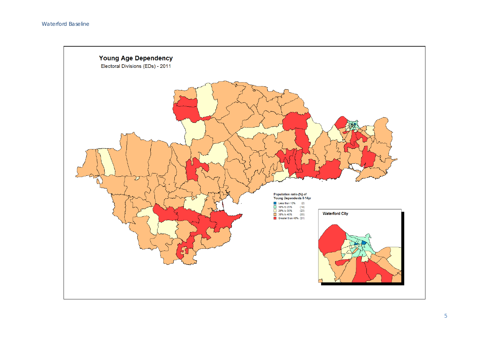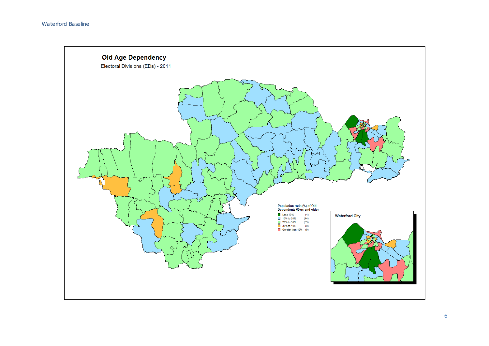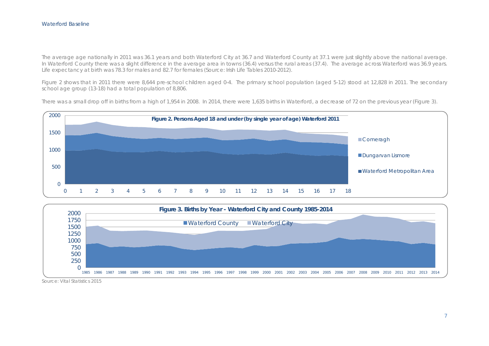The average age nationally in 2011 was 36.1 years and both Waterford City at 36.7 and Waterford County at 37.1 were just slightly above the national average. In Waterford County there was a slight difference in the average area in towns (36.4) versus the rural areas (37.4). The average across Waterford was 36.9 years. Life expectancy at birth was 78.3 for males and 82.7 for females (Source: Irish Life Tables 2010-2012).

Figure 2 shows that in 2011 there were 8,644 pre-school children aged 0-4. The primary school population (aged 5-12) stood at 12,828 in 2011. The secondary school age group (13-18) had a total population of 8,806.

There was a small drop off in births from a high of 1,954 in 2008. In 2014, there were 1,635 births in Waterford, a decrease of 72 on the previous year (Figure 3).





Source: Vital Statistics 2015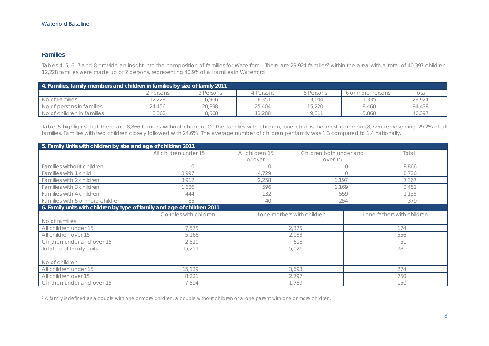#### **Families**

Tables 4, 5, 6, 7 and 8 provide an insight into the composition of families for Waterford. There are 29,924 families<sup>2</sup> within the area with a total of 40,397 children. 12,228 families were made up of 2 persons, representing 40.9% of all families in Waterford.

| 4. Families, family members and children in families by size of family 2011 |             |             |                   |           |                   |        |
|-----------------------------------------------------------------------------|-------------|-------------|-------------------|-----------|-------------------|--------|
|                                                                             | 2 Persons i | 3 Persons - | Persons           | 5 Persons | 6 or more Persons | Total  |
| No of Families                                                              | 2.228       | 6.966       | 6.35 <sup>1</sup> | 3.044     | .335              | 29.924 |
| No of persons in families                                                   | 24,456      | 20,898      | 25,404            | 15,220    | 8,460             | 94.438 |
| No of children in families                                                  | 3,362       | 8.568       | 13,288            | 9.311     | 5,868             | 40,397 |

Table 5 highlights that there are 8,866 families without children. Of the families with children, one child is the most common (8,726) representing 29.2% of all families. Families with two children closely followed with 24.6%. The average number of children per family was 1.3 compared to 1.4 nationally.

| 5. Family Units with children by size and age of children 2011           |                       |                            |                         |                            |  |
|--------------------------------------------------------------------------|-----------------------|----------------------------|-------------------------|----------------------------|--|
|                                                                          | All children under 15 | All children 15            | Children both under and | Total                      |  |
|                                                                          |                       | or over                    | over 15                 |                            |  |
| Families without children                                                | $\bigcap$             | $\bigcirc$                 | $\bigcirc$              | 8.866                      |  |
| Families with 1 child                                                    | 3,997                 | 4,729                      | $\bigcirc$              | 8,726                      |  |
| Families with 2 children                                                 | 3,912                 | 2.258                      | .197                    | 7,367                      |  |
| Families with 3 children                                                 | .686                  | 596                        | 1.169                   | 3,451                      |  |
| Families with 4 children                                                 | 444                   | 132                        | 559                     | 1.135                      |  |
| Families with 5 or more children                                         | 85                    | 40                         | 254                     | 379                        |  |
| 6. Family units with children by type of family and age of children 2011 |                       |                            |                         |                            |  |
|                                                                          | Couples with children | Lone mothers with children |                         | Lone fathers with children |  |
| No of families                                                           |                       |                            |                         |                            |  |
| All children under 15                                                    | 7.575                 |                            | 2.375                   | 174                        |  |
| All children over 15                                                     | 5.166                 |                            | 2,033                   |                            |  |
| Children under and over 15                                               | 2,510                 |                            | 618                     |                            |  |
| Total no of family units                                                 | 15,251                |                            | 5,026                   |                            |  |
|                                                                          |                       |                            |                         |                            |  |
| No of children                                                           |                       |                            |                         |                            |  |
| All children under 15                                                    | 15,129                |                            | 3,693                   | 274                        |  |
| All children over 15                                                     | 8,221                 |                            | 2,797                   | 750                        |  |
| Children under and over 15                                               | 7,594                 |                            | 1,789                   | 150                        |  |

<sup>&</sup>lt;sup>2</sup> A family is defined as a couple with one or more children, a couple without children or a lone parent with one or more children.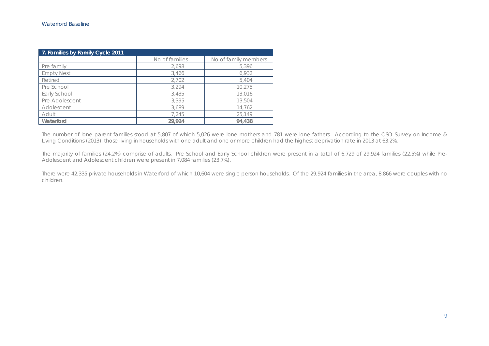| 7. Families by Family Cycle 2011 |                |                      |  |
|----------------------------------|----------------|----------------------|--|
|                                  | No of families | No of family members |  |
| Pre family                       | 2,698          | 5,396                |  |
| <b>Empty Nest</b>                | 3.466          | 6,932                |  |
| Retired                          | 2,702          | 5,404                |  |
| Pre School                       | 3,294          | 10,275               |  |
| Early School                     | 3.435          | 13,016               |  |
| Pre-Adolescent                   | 3,395          | 13,504               |  |
| Adolescent                       | 3.689          | 14,762               |  |
| Adult                            | 7,245          | 25,149               |  |
| Waterford                        | 29.924         | 94.438               |  |

The number of lone parent families stood at 5,807 of which 5,026 were lone mothers and 781 were lone fathers. According to the CSO Survey on Income & Living Conditions (2013), those living in households with one adult and one or more children had the highest deprivation rate in 2013 at 63.2%.

The majority of families (24.2%) comprise of adults. Pre School and Early School children were present in a total of 6,729 of 29,924 families (22.5%) while Pre-Adolescent and Adolescent children were present in 7,084 families (23.7%).

There were 42,335 private households in Waterford of which 10,604 were single person households. Of the 29,924 families in the area, 8,866 were couples with no children.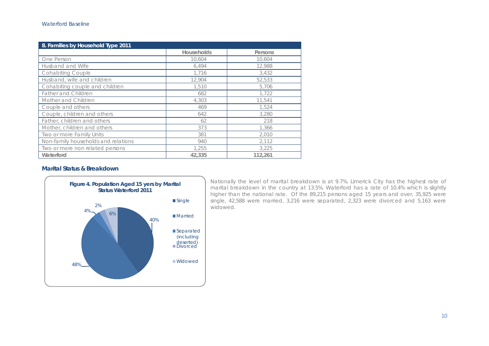| 8. Families by Household Type 2011  |                   |         |
|-------------------------------------|-------------------|---------|
|                                     | <b>Households</b> | Persons |
| One Person                          | 10,604            | 10,604  |
| Husband and Wife                    | 6,494             | 12,988  |
| <b>Cohabiting Couple</b>            | 1,716             | 3,432   |
| Husband, wife and children          | 12,904            | 52,533  |
| Cohabiting couple and children      | 1,510             | 5.706   |
| <b>Father and Children</b>          | 682               | 1.722   |
| Mother and Children                 | 4,303             | 11.541  |
| Couple and others                   | 469               | 1.524   |
| Couple, children and others         | 642               | 3,280   |
| Father, children and others         | 62                | 218     |
| Mother, children and others         | 373               | 1,366   |
| Two or more Family Units            | 381               | 2,010   |
| Non-family households and relations | 940               | 2.112   |
| Two or more non related persons     | 1.255             | 3.225   |
| Waterford                           | 42,335            | 112,261 |

#### **Marital Status & Breakdown**



Nationally the level of marital breakdown is at 9.7%. Limerick City has the highest rate of marital breakdown in the country at 13.5%. Waterford has a rate of 10.4% which is slightly higher than the national rate. Of the 89,215 persons aged 15 years and over, 35,925 were single, 42,588 were married, 3,216 were separated, 2,323 were divorced and 5,163 were widowed.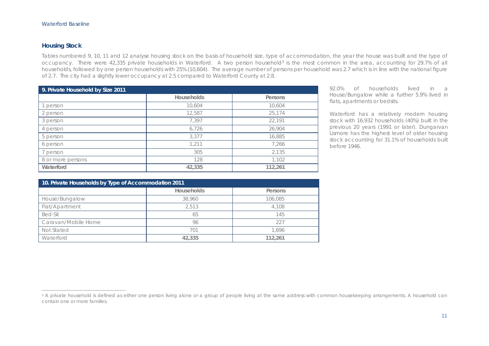#### **Housing Stock**

Tables numbered 9, 10, 11 and 12 analyse housing stock on the basis of household size, type of accommodation, the year the house was built and the type of occupancy. There were 42,335 private households in Waterford. A two person household<sup>3</sup> is the most common in the area, accounting for 29.7% of all households, followed by one person households with 25% (10,604). The average number of persons per household was 2.7 which is in line with the national figure of 2.7. The city had a slightly lower occupancy at 2.5 compared to Waterford County at 2.8.

| 9. Private Household by Size 2011 |                   |         |
|-----------------------------------|-------------------|---------|
|                                   | <b>Households</b> | Persons |
| person                            | 10,604            | 10,604  |
| 2 person                          | 12,587            | 25,174  |
| 3 person                          | 7,397             | 22,191  |
| 4 person                          | 6,726             | 26,904  |
| 5 person                          | 3,377             | 16,885  |
| 6 person                          | 1,211             | 7,266   |
| person                            | 305               | 2,135   |
| 8 or more persons                 | 128               | 1,102   |
| Waterford                         | 42,335            | 112,261 |

92.0% of households lived in a House/Bungalow while a further 5.9% lived in flats, apartments or bedsits.

Waterford has a relatively modern housing stock with 16,932 households (40%) built in the previous 20 years (1991 or later). Dungarvan Lismore has the highest level of older housing stock accounting for 31.1% of households built before 1946.

| 10. Private Households by Type of Accommodation 2011 |                   |         |  |
|------------------------------------------------------|-------------------|---------|--|
|                                                      | <b>Households</b> | Persons |  |
| House/Bungalow                                       | 38,960            | 106,085 |  |
| Flat/Apartment                                       | 2.513             | 4,108   |  |
| Bed-Sit                                              | 65                | 145     |  |
| Caravan/Mobile Home                                  | 96                | 227     |  |
| Not Stated                                           | 701               | 1.696   |  |
| Waterford                                            | 42,335            | 112.261 |  |

<sup>&</sup>lt;sup>3</sup> A private household is defined as either one person living alone or a group of people living at the same address with common housekeeping arrangements. A household can contain one or more families.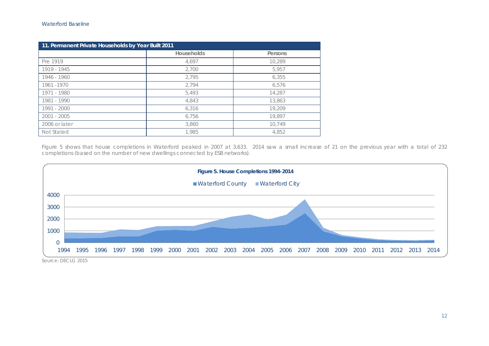| 11. Permanent Private Households by Year Built 2011 |                   |         |  |
|-----------------------------------------------------|-------------------|---------|--|
|                                                     | <b>Households</b> | Persons |  |
| Pre 1919                                            | 4,697             | 10,289  |  |
| 1919 - 1945                                         | 2,700             | 5.957   |  |
| 1946 - 1960                                         | 2,795             | 6,355   |  |
| 1961-1970                                           | 2,794             | 6.576   |  |
| 1971 - 1980                                         | 5.493             | 14,287  |  |
| 1981 - 1990                                         | 4,843             | 13,863  |  |
| 1991 - 2000                                         | 6,316             | 19,209  |  |
| $2001 - 2005$                                       | 6.756             | 19,897  |  |
| 2006 or later                                       | 3,860             | 10,749  |  |
| Not Stated                                          | 1,985             | 4,852   |  |

Figure 5 shows that house completions in Waterford peaked in 2007 at 3,633. 2014 saw a small increase of 21 on the previous year with a total of 232 completions (based on the number of new dwellings connected by ESB networks).



Source: DECLG 2015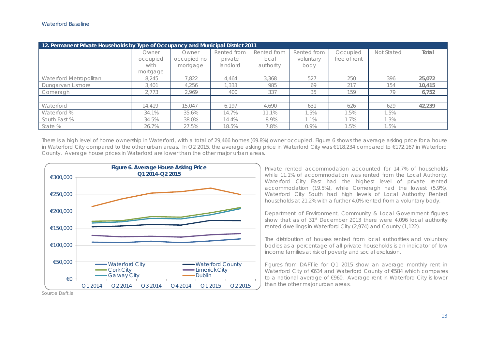| 12. Permanent Private Households by Type of Occupancy and Municipal District 2011 |                                       |                                  |                                    |                                   |                                  |                          |            |        |
|-----------------------------------------------------------------------------------|---------------------------------------|----------------------------------|------------------------------------|-----------------------------------|----------------------------------|--------------------------|------------|--------|
|                                                                                   | Owner<br>occupied<br>with<br>mortgage | Owner<br>occupied no<br>mortgage | Rented from<br>private<br>landlord | Rented from<br>local<br>authority | Rented from<br>voluntary<br>body | Occupied<br>free of rent | Not Stated | Total  |
| Waterford Metropolitan                                                            | 8.245                                 | 7,822                            | 4,464                              | 3,368                             | 527                              | 250                      | 396        | 25,072 |
| Dungarvan Lismore                                                                 | 3,401                                 | 4.256                            | 1,333                              | 985                               | 69                               | 217                      | 154        | 10.415 |
| Comeragh                                                                          | 2.773                                 | 2.969                            | 400                                | 337                               | 35                               | 159                      | 79         | 6,752  |
|                                                                                   |                                       |                                  |                                    |                                   |                                  |                          |            |        |
| Waterford                                                                         | 14,419                                | 15.047                           | 6.197                              | 4.690                             | 631                              | 626                      | 629        | 42,239 |
| Waterford %                                                                       | 34.1%                                 | 35.6%                            | 14.7%                              | 11.1%                             | 1.5%                             | 1.5%                     | 1.5%       |        |
| South East %                                                                      | 34.5%                                 | 38.0%                            | 14.4%                              | 8.9%                              | $1.1\%$                          | 1.7%                     | 1.3%       |        |
| State %                                                                           | 26.7%                                 | 27.5%                            | 18.5%                              | 7.8%                              | $0.9\%$                          | 1.5%                     | 1.5%       |        |

There is a high level of home ownership in Waterford, with a total of 29,466 homes (69.8%) owner occupied. Figure 6 shows the average asking price for a house in Waterford City compared to the other urban areas. In Q2 2015, the average asking price in Waterford City was €118,234 compared to €172,167 in Waterford County. Average house prices in Waterford are lower than the other major urban areas.



Private rented accommodation accounted for 14.7% of households while 11.1% of accommodation was rented from the Local Authority. Waterford City East had the highest level of private rented accommodation (19.5%), while Comeragh had the lowest (5.9%). Waterford City South had high levels of Local Authority Rented households at 21.2% with a further 4.0% rented from a voluntary body.

Department of Environment, Community & Local Government figures show that as of 31<sup>st</sup> December 2013 there were 4,096 local authority rented dwellings in Waterford City (2,974) and County (1,122).

The distribution of houses rented from local authorities and voluntary bodies as a percentage of all private households is an indicator of low income families at risk of poverty and social exclusion.

Figures from DAFT.ie for Q1 2015 show an average monthly rent in Waterford City of €634 and Waterford County of €584 which compares to a national average of €960. Average rent in Waterford City is lower than the other major urban areas.

Source Daft.ie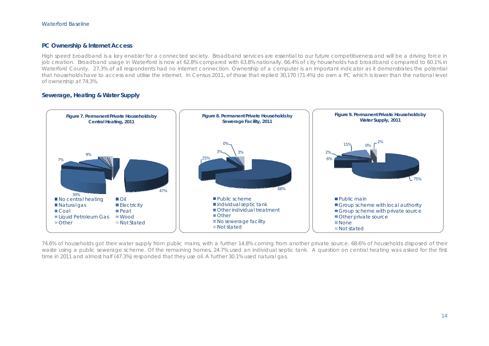#### **PC Ownership & Internet Access**

High speed broadband is a key enabler for a connected society. Broadband services are essential to our future competitiveness and will be a driving force in job creation. Broadband usage in Waterford is now at 62.8% compared with 63.8% nationally. 66.4% of city households had broadband compared to 60.1% in Waterford County. 27.3% of all respondents had no internet connection. Ownership of a computer is an important indicator as it demonstrates the potential that households have to access and utilise the internet. In Census 2011, of those that replied 30,170 (71.4%) do own a PC which is lower than the national level of ownership at 74.3%.

#### **Sewerage, Heating & Water Supply**



74.6% of households got their water supply from public mains, with a further 14.8% coming from another private source. 68.6% of households disposed of their waste using a public sewerage scheme. Of the remaining homes, 24.7% used an individual septic tank. A question on central heating was asked for the first time in 2011 and almost half (47.3%) responded that they use oil. A further 30.1% used natural gas.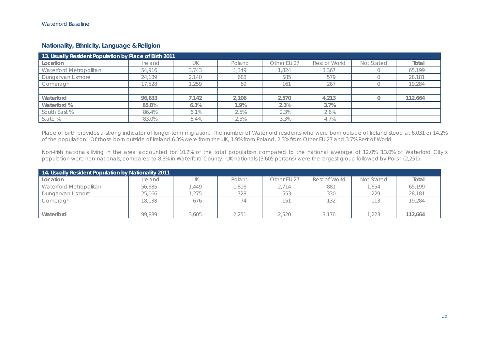## **Nationality, Ethnicity, Language & Religion**

| 13. Usually Resident Population by Place of Birth 2011 |         |         |        |             |               |            |         |  |  |
|--------------------------------------------------------|---------|---------|--------|-------------|---------------|------------|---------|--|--|
| Location                                               | Ireland | UK      | Poland | Other EU 27 | Rest of World | Not Stated | Total   |  |  |
| Waterford Metropolitan                                 | 54,916  | 3.743   | .349   | .824        | 3,367         |            | 65,199  |  |  |
| Dungarvan Lismore                                      | 24,189  | 2,140   | 688    | 585         | 579           |            | 28,181  |  |  |
| Comeragh                                               | 17.528  | .259    | 69     | 161         | 267           |            | 19,284  |  |  |
|                                                        |         |         |        |             |               |            |         |  |  |
| Waterford                                              | 96.633  | 7,142   | 2.106  | 2.570       | 4,213         |            | 112,664 |  |  |
| Waterford %                                            | 85.8%   | 6.3%    | 1.9%   | 2.3%        | 3.7%          |            |         |  |  |
| South East %                                           | 86.4%   | 6.1%    | 2.5%   | 2.3%        | 2.6%          |            |         |  |  |
| State %                                                | 83.0%   | $6.4\%$ | 2.5%   | 3.3%        | 4.7%          |            |         |  |  |

Place of birth provides a strong indicator of longer term migration. The number of Waterford residents who were born outside of Ireland stood at 6,031 or 14.2% of the population. Of those born outside of Ireland 6.3% were from the UK, 1.9% from Poland, 2.3% from Other EU 27 and 3.7% Rest of World.

Non-Irish nationals living in the area accounted for 10.2% of the total population compared to the national average of 12.0%. 13.0% of Waterford City's population were non-nationals, compared to 8.3% in Waterford County. UK nationals (3,605 persons) were the largest group followed by Polish (2,251).

| 14. Usually Resident Population by Nationality 2011 |         |       |        |             |               |            |         |  |  |
|-----------------------------------------------------|---------|-------|--------|-------------|---------------|------------|---------|--|--|
| Location                                            | Ireland | UΚ    | Poland | Other EU 27 | Rest of World | Not Stated | Total   |  |  |
| Waterford Metropolitan                              | 56,685  | .449  | .816   | 2,714       | 881           | ,654       | 65,199  |  |  |
| Dungarvan Lismore                                   | 25,066  | .275  | 728    | 553         | 330           | 229        | 28,181  |  |  |
| Comeragh                                            | 18,138  | 676   |        | 151         | 132           | 113        | 19,284  |  |  |
|                                                     |         |       |        |             |               |            |         |  |  |
| Waterford                                           | 99.889  | 3,605 | 2.251  | 2.520       | 3.176         | 1.223      | 112.664 |  |  |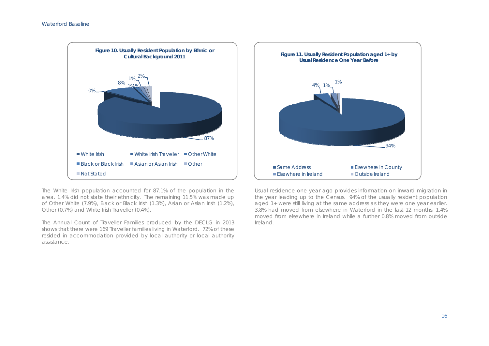

The White Irish population accounted for 87.1% of the population in the area. 1.4% did not state their ethnicity. The remaining 11.5% was made up of Other White (7.9%), Black or Black Irish (1.3%), Asian or Asian Irish (1.2%), Other (0.7%) and White Irish Traveller (0.4%).

The Annual Count of Traveller Families produced by the DECLG in 2013 shows that there were 169 Traveller families living in Waterford. 72% of these resided in accommodation provided by local authority or local authority assistance.



Usual residence one year ago provides information on inward migration in the year leading up to the Census. 94% of the usually resident population aged 1+ were still living at the same address as they were one year earlier. 3.8% had moved from elsewhere in Waterford in the last 12 months. 1.4% moved from elsewhere in Ireland while a further 0.8% moved from outside Ireland.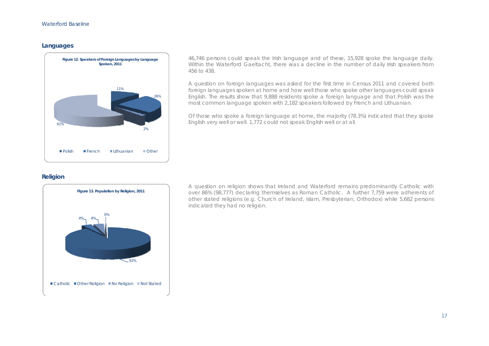#### **Languages**



46,746 persons could speak the Irish language and of these, 15,928 spoke the language daily. Within the Waterford Gaeltacht, there was a decline in the number of daily Irish speakers from 456 to 438.

A question on foreign languages was asked for the first time in Census 2011 and covered both foreign languages spoken at home and how well those who spoke other languages could speak English. The results show that 9,888 residents spoke a foreign language and that Polish was the most common language spoken with 2,182 speakers followed by French and Lithuanian.

Of those who spoke a foreign language at home, the majority (78.3%) indicated that they spoke English very well or well. 1,772 could not speak English well or at all.

#### **Religion**



A question on religion shows that Ireland and Waterford remains predominantly Catholic with over 86% (98,777) declaring themselves as Roman Catholic. A further 7,759 were adherents of other stated religions (e.g. Church of Ireland, Islam, Presbyterian, Orthodox) while 5,682 persons indicated they had no religion.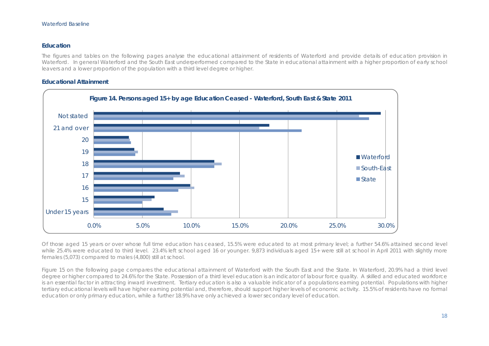#### **Education**

The figures and tables on the following pages analyse the educational attainment of residents of Waterford and provide details of education provision in Waterford. In general Waterford and the South East underperformed compared to the State in educational attainment with a higher proportion of early school leavers and a lower proportion of the population with a third level degree or higher.

#### **Educational Attainment**



Of those aged 15 years or over whose full time education has ceased, 15.5% were educated to at most primary level; a further 54.6% attained second level while 25.4% were educated to third level. 23.4% left school aged 16 or younger. 9,873 individuals aged 15+ were still at school in April 2011 with slightly more females (5,073) compared to males (4,800) still at school.

Figure 15 on the following page compares the educational attainment of Waterford with the South East and the State. In Waterford, 20.9% had a third level degree or higher compared to 24.6% for the State. Possession of a third level education is an indicator of labour force quality. A skilled and educated workforce is an essential factor in attracting inward investment. Tertiary education is also a valuable indicator of a populations earning potential. Populations with higher tertiary educational levels will have higher earning potential and, therefore, should support higher levels of economic activity. 15.5% of residents have no formal education or only primary education, while a further 18.9% have only achieved a lower secondary level of education.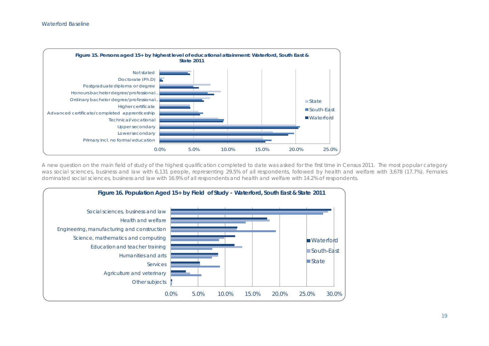

A new question on the main field of study of the highest qualification completed to date was asked for the first time in Census 2011. The most popular category was social sciences, business and law with 6,131 people, representing 29.5% of all respondents, followed by health and welfare with 3,678 (17.7%). Females dominated social sciences, business and law with 16.9% of all respondents and health and welfare with 14.2% of respondents.

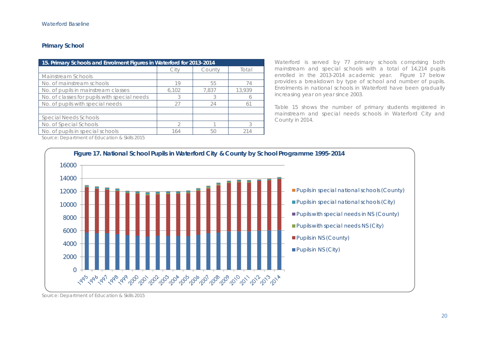## **Primary School**

| 15. Primary Schools and Enrolment Figures in Waterford for 2013-2014 |       |        |        |  |  |  |  |  |
|----------------------------------------------------------------------|-------|--------|--------|--|--|--|--|--|
|                                                                      | Citv  | County | Total  |  |  |  |  |  |
| Mainstream Schools                                                   |       |        |        |  |  |  |  |  |
| No. of mainstream schools                                            | 19    | 55     |        |  |  |  |  |  |
| No. of pupils in mainstream classes                                  | 6,102 | 7.837  | 13,939 |  |  |  |  |  |
| No. of classes for pupils with special needs                         |       |        |        |  |  |  |  |  |
| No. of pupils with special needs                                     | 27    | 24     | 61     |  |  |  |  |  |
|                                                                      |       |        |        |  |  |  |  |  |
| Special Needs Schools                                                |       |        |        |  |  |  |  |  |
| No. of Special Schools                                               |       |        |        |  |  |  |  |  |
| No. of pupils in special schools                                     | 164   | 50     |        |  |  |  |  |  |

Waterford is served by 77 primary schools comprising both mainstream and special schools with a total of 14,214 pupils enrolled in the 2013-2014 academic year. Figure 17 below provides a breakdown by type of school and number of pupils. Enrolments in national schools in Waterford have been gradually increasing year on year since 2003.

Table 15 shows the number of primary students registered in mainstream and special needs schools in Waterford City and County in 2014.

Source: Department of Education & Skills 2015



Source: Department of Education & Skills 2015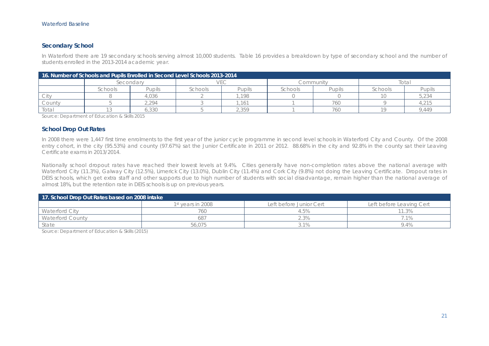#### **Secondary School**

In Waterford there are 19 secondary schools serving almost 10,000 students. Table 16 provides a breakdown by type of secondary school and the number of students enrolled in the 2013-2014 academic year.

| 16. Number of Schools and Pupils Enrolled in Second Level Schools 2013-2014 |           |        |         |                 |           |        |         |        |  |  |
|-----------------------------------------------------------------------------|-----------|--------|---------|-----------------|-----------|--------|---------|--------|--|--|
|                                                                             | Secondarv |        |         |                 | Community |        | iotal   |        |  |  |
|                                                                             | ichools   | Pupils | Schools | Pupils          | Schools   | Pupils | Schools | Pupils |  |  |
|                                                                             |           | .036   |         | 198             |           |        |         | 5,234  |  |  |
| County                                                                      |           | .294   |         | 16 <sup>7</sup> |           | 760    |         | .215   |  |  |
| Total                                                                       |           | 6,330  |         | .359            |           | 760    |         | 9.449  |  |  |

Source: Department of Education & Skills 2015

#### **School Drop Out Rates**

In 2008 there were 1,447 first time enrolments to the first year of the junior cycle programme in second level schools in Waterford City and County. Of the 2008 entry cohort, in the city (95.53%) and county (97.67%) sat the Junior Certificate in 2011 or 2012. 88.68% in the city and 92.8% in the county sat their Leaving Certificate exams in 2013/2014.

Nationally school dropout rates have reached their lowest levels at 9.4%. Cities generally have non-completion rates above the national average with Waterford City (11.3%), Galway City (12.5%), Limerick City (13.0%), Dublin City (11.4%) and Cork City (9.8%) not doing the Leaving Certificate. Dropout rates in DEIS schools, which get extra staff and other supports due to high number of students with social disadvantage, remain higher than the national average of almost 18%, but the retention rate in DEIS schools is up on previous years.

| 17. School Drop Out Rates based on 2008 intake |                               |                         |                          |  |  |  |  |  |
|------------------------------------------------|-------------------------------|-------------------------|--------------------------|--|--|--|--|--|
|                                                | 1 <sup>st</sup> years in 2008 | Left before Junior Cert | Left before Leaving Cert |  |  |  |  |  |
| <b>Waterford City</b>                          | 760                           | 4.5%                    |                          |  |  |  |  |  |
| Waterford County                               | 687                           | $2.3\%$                 |                          |  |  |  |  |  |
| State                                          | 56,075                        | 3.1%                    | 9.4%                     |  |  |  |  |  |

Source: Department of Education & Skills (2015)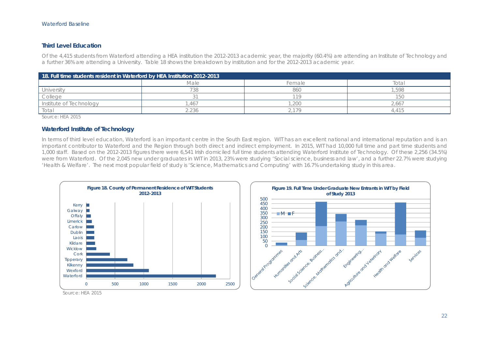#### **Third Level Education**

Of the 4,415 students from Waterford attending a HEA institution the 2012-2013 academic year, the majority (60.4%) are attending an Institute of Technology and a further 36% are attending a University. Table 18 shows the breakdown by institution and for the 2012-2013 academic year.

| 18. Full time students resident in Waterford by HEA Institution 2012-2013 |                |        |                          |  |  |  |  |  |
|---------------------------------------------------------------------------|----------------|--------|--------------------------|--|--|--|--|--|
|                                                                           | Male           | Female | Total                    |  |  |  |  |  |
| University                                                                | 138            | 860    | .598                     |  |  |  |  |  |
| College                                                                   |                |        | 150                      |  |  |  |  |  |
| Institute of Technology                                                   | 46             | .200   | 2.667                    |  |  |  |  |  |
| Total                                                                     | $^{\circ}$ 236 | 179    | $\overline{\phantom{a}}$ |  |  |  |  |  |

Source: HEA 2015

#### **Waterford Institute of Technology**

In terms of third level education, Waterford is an important centre in the South East region. WIT has an excellent national and international reputation and is an important contributor to Waterford and the Region through both direct and indirect employment. In 2015, WIT had 10,000 full time and part time students and 1,000 staff. Based on the 2012-2013 figures there were 6,541 Irish domiciled full time students attending Waterford Institute of Technology. Of these 2,256 (34.5%) were from Waterford. Of the 2,045 new under graduates in WIT in 2013, 23% were studying 'Social science, business and law', and a further 22.7% were studying 'Health & Welfare'. The next most popular field of study is 'Science, Mathematics and Computing' with 16.7% undertaking study in this area.





Source: HEA 2015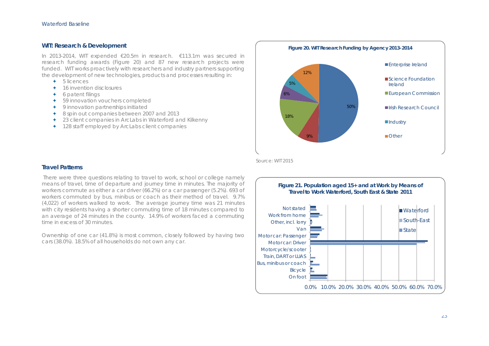#### **WIT: Research & Development**

In 2013-2014, WIT expended €20.5m in research. €113.1m was secured in research funding awards (Figure 20) and 87 new research projects were funded. WIT works proactively with researchers and industry partners supporting the development of new technologies, products and processes resulting in:

- $+ 5$  licences
- ✦ 16 invention disclosures
- $\leftarrow$  6 patent filings
- **←** 59 innovation vouchers completed
- **←** 9 innovation partnerships initiated
- ◆ 8 spin out companies between 2007 and 2013
- ◆ 23 client companies in ArcLabs in Waterford and Kilkenny
- 128 staff employed by ArcLabs client companies



Source: WIT 2015

#### **Travel Patterns**

 There were three questions relating to travel to work, school or college namely means of travel, time of departure and journey time in minutes. The majority of workers commute as either a car driver (66.2%) or a car passenger (5.2%). 693 of workers commuted by bus, minibus or coach as their method of travel. 9.7% (4,022) of workers walked to work. The average journey time was 21 minutes with city residents having a shorter commuting time of 18 minutes compared to an average of 24 minutes in the county. 14.9% of workers faced a commuting time in excess of 30 minutes.

Ownership of one car (41.8%) is most common, closely followed by having two cars (38.0%). 18.5% of all households do not own any car.

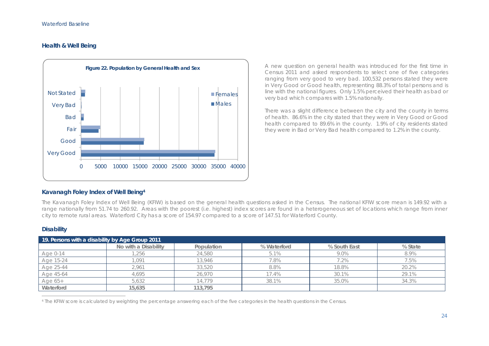## **Health & Well Being**



A new question on general health was introduced for the first time in Census 2011 and asked respondents to select one of five categories ranging from very good to very bad. 100,532 persons stated they were in Very Good or Good health, representing 88.3% of total persons and is line with the national figures. Only 1.5% perceived their health as bad or very bad which compares with 1.5% nationally.

There was a slight difference between the city and the county in terms of health. 86.6% in the city stated that they were in Very Good or Good health compared to 89.6% in the county. 1.9% of city residents stated they were in Bad or Very Bad health compared to 1.2% in the county.

## **Kavanagh Foley Index of Well Being4**

The Kavanagh Foley Index of Well Being (KFIW) is based on the general health questions asked in the Census. The national KFIW score mean is 149.92 with a range nationally from 51.74 to 260.92. Areas with the poorest (i.e. highest) index scores are found in a heterogeneous set of locations which range from inner city to remote rural areas. Waterford City has a score of 154.97 compared to a score of 147.51 for Waterford County.

#### **Disability**

| 19. Persons with a disability by Age Group 2011 |                      |            |             |              |         |  |  |  |  |
|-------------------------------------------------|----------------------|------------|-------------|--------------|---------|--|--|--|--|
|                                                 | No with a Disability | Population | % Waterford | % South East | % State |  |  |  |  |
| Age 0-14                                        | ,256                 | 24,580     | 5.1%        | 9.0%         | 8.9%    |  |  |  |  |
| Age 15-24                                       | .091                 | 13.946     | .8%         | $7.2\%$      | 7.5%    |  |  |  |  |
| Age 25-44                                       | 2,961                | 33,520     | 8.8%        | 18.8%        | 20.2%   |  |  |  |  |
| Age 45-64                                       | 4.695                | 26,970     | 17.4%       | 30.1%        | 29.1%   |  |  |  |  |
| Age 65+                                         | 5,632                | 14.779     | 38.1%       | 35.0%        | 34.3%   |  |  |  |  |
| Waterford                                       | 15,635               | 113,795    |             |              |         |  |  |  |  |

4 The KFIW score is calculated by weighting the percentage answering each of the five categories in the health questions in the Census.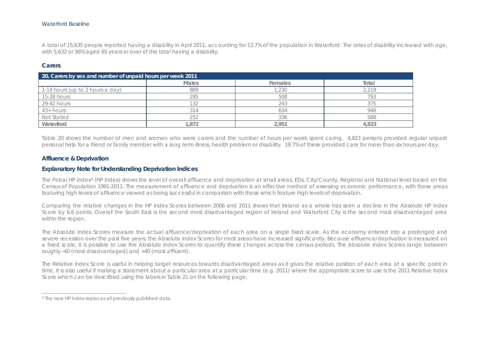#### Waterford Baseline

A total of 15,635 people reported having a disability in April 2011, accounting for 13.7% of the population in Waterford. The rates of disability increased with age, with 5,632 or 36% aged 65 years or over of the total having a disability.

#### **Carers**

| 20. Carers by sex and number of unpaid hours per week 2011 |              |         |       |  |  |  |  |  |
|------------------------------------------------------------|--------------|---------|-------|--|--|--|--|--|
|                                                            | <b>Males</b> | Females | Total |  |  |  |  |  |
| 1-14 hours (up to 2 hours a day)                           | 889          | .230    | 2119  |  |  |  |  |  |
| 15-28 hours                                                | 285          | 508     | 793   |  |  |  |  |  |
| 29-42 hours                                                | 100          | 243     | 375   |  |  |  |  |  |
| $43+ hours$                                                |              | 634     | 948   |  |  |  |  |  |
| Not Stated                                                 | 252          | 336     | 588   |  |  |  |  |  |
| Waterford                                                  | .872         | 2.951   | 4,823 |  |  |  |  |  |

Table 20 shows the number of men and women who were carers and the number of hours per week spent caring. 4,823 persons provided regular unpaid personal help for a friend or family member with a long term illness, health problem or disability. 19.7% of these provided care for more than six hours per day.

#### **Affluence & Deprivation**

#### **Explanatory Note for Understanding Deprivation Indices**

The Pobal HP Index<sup>5</sup> (HP Index) shows the level of overall affluence and deprivation at small areas, EDs, City/County, Regional and National level based on the Census of Population 1991-2011. The measurement of affluence and deprivation is an effective method of assessing economic performance, with those areas featuring high levels of affluence viewed as being successful in comparison with those which feature high levels of deprivation.

Comparing the relative changes in the HP Index Scores between 2006 and 2011 shows that Ireland as a whole has seen a decline in the Absolute HP Index Score by 6.6 points. Overall the South East is the second most disadvantaged region of Ireland and Waterford City is the second most disadvantaged area within the region.

The Absolute Index Scores measure the actual affluence/deprivation of each area on a single fixed scale. As the economy entered into a prolonged and severe recession over the past five years, the Absolute Index Scores for most areas have increased significantly. Because affluence/deprivation is measured on a fixed scale, it is possible to use the Absolute Index Scores to quantify these changes across the census periods. The Absolute Index Scores range between roughly -40 (most disadvantaged) and +40 (most affluent).

The Relative Index Score is useful in helping target resources towards disadvantaged areas as it gives the relative position of each area at a specific point in time. It is also useful if making a statement about a particular area at a particular time (e.g. 2011) where the appropriate score to use is the 2011 Relative Index Score which can be described using the labels in Table 21 on the following page.

<sup>&</sup>lt;sup>5</sup> The new HP Index replaces all previously published data.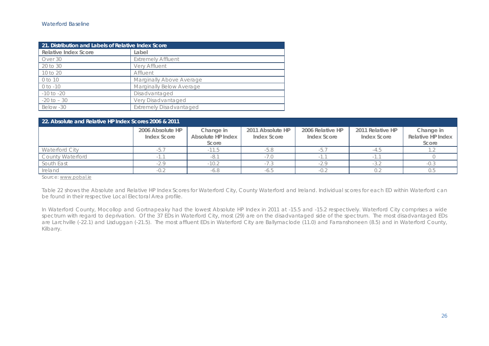| 21. Distribution and Labels of Relative Index Score |                                |  |  |  |
|-----------------------------------------------------|--------------------------------|--|--|--|
| Relative Index Score                                | Label                          |  |  |  |
| Over 30                                             | <b>Extremely Affluent</b>      |  |  |  |
| 20 to 30                                            | Very Affluent                  |  |  |  |
| 10 to 20                                            | Affluent                       |  |  |  |
| 0 to 10                                             | Marginally Above Average       |  |  |  |
| $0$ to $-10$                                        | Marginally Below Average       |  |  |  |
| $-10$ to $-20$                                      | Disadvantaged                  |  |  |  |
| $-20$ to $-30$                                      | Very Disadvantaged             |  |  |  |
| Below -30                                           | <b>Extremely Disadvantaged</b> |  |  |  |

| 22. Absolute and Relative HP Index Scores 2006 & 2011 |                                 |                                         |                                 |                                 |                                 |                                         |  |  |  |
|-------------------------------------------------------|---------------------------------|-----------------------------------------|---------------------------------|---------------------------------|---------------------------------|-----------------------------------------|--|--|--|
|                                                       | 2006 Absolute HP<br>Index Score | Change in<br>Absolute HP Index<br>Score | 2011 Absolute HP<br>Index Score | 2006 Relative HP<br>Index Score | 2011 Relative HP<br>Index Score | Change in<br>Relative HP Index<br>Score |  |  |  |
| <b>Waterford City</b>                                 |                                 |                                         | -5.8                            |                                 |                                 |                                         |  |  |  |
| <b>County Waterford</b>                               |                                 |                                         |                                 |                                 |                                 |                                         |  |  |  |
| South East                                            | $-2.9$                          | $-10.2$                                 |                                 | $-20$                           | -3.1                            | -0.3                                    |  |  |  |
| Ireland                                               |                                 |                                         |                                 |                                 |                                 |                                         |  |  |  |

Source: www.pobal.ie

Table 22 shows the Absolute and Relative HP Index Scores for Waterford City, County Waterford and Ireland. Individual scores for each ED within Waterford can be found in their respective Local Electoral Area profile.

In Waterford County, Mocollop and Gortnapeaky had the lowest Absolute HP Index in 2011 at -15.5 and -15.2 respectively. Waterford City comprises a wide spectrum with regard to deprivation. Of the 37 EDs in Waterford City, most (29) are on the disadvantaged side of the spectrum. The most disadvantaged EDs are Larchville (-22.1) and Lisduggan (-21.5). The most affluent EDs in Waterford City are Ballymaclode (11.0) and Farranshoneen (8.5) and in Waterford County, Kilbarry.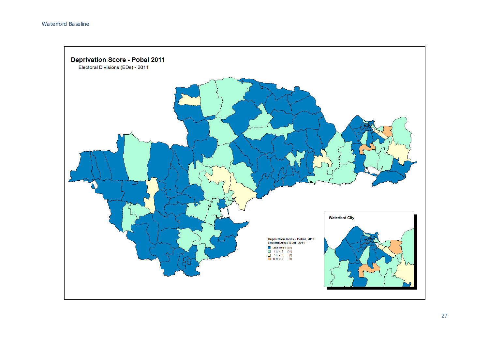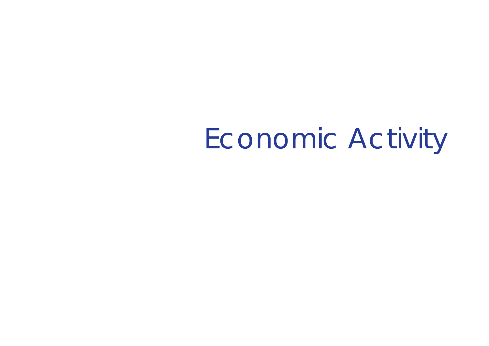# Economic Activity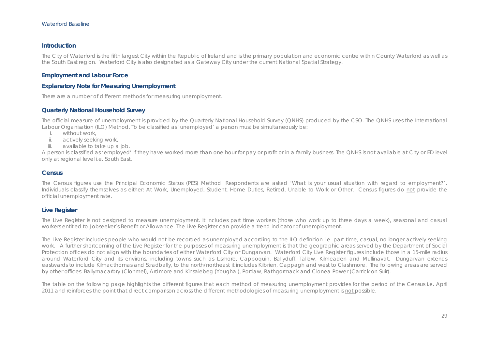#### **Introduction**

The City of Waterford is the fifth largest City within the Republic of Ireland and is the primary population and economic centre within County Waterford as well as the South East region. Waterford City is also designated as a Gateway City under the current National Spatial Strategy.

#### **Employment and Labour Force**

#### **Explanatory Note for Measuring Unemployment**

There are a number of different methods for measuring unemployment.

#### **Quarterly National Household Survey**

The official measure of unemployment is provided by the Quarterly National Household Survey (QNHS) produced by the CSO. The QNHS uses the International Labour Organisation (ILO) Method. To be classified as 'unemployed' a person must be simultaneously be:

- i. without work,
- ii. actively seeking work,
- iii. available to take up a job.

A person is classified as 'employed' if they have worked more than one hour for pay or profit or in a family business. The QNHS is not available at City or ED level only at regional level i.e. South East.

#### **Census**

The Census figures use the Principal Economic Status (PES) Method. Respondents are asked 'What is your usual situation with regard to employment?'. Individuals classify themselves as either: At Work, Unemployed, Student, Home Duties, Retired, Unable to Work or Other. Census figures do not provide the official unemployment rate.

#### **Live Register**

The Live Register is not designed to measure unemployment. It includes part time workers (those who work up to three days a week), seasonal and casual workers entitled to Jobseeker's Benefit or Allowance. The Live Register can provide a trend indicator of unemployment.

The Live Register includes people who would not be recorded as unemployed according to the ILO definition i.e. part time, casual, no longer actively seeking work. A further shortcoming of the Live Register for the purposes of measuring unemployment is that the geographic areas served by the Department of Social Protection offices do not align with the boundaries of either Waterford City or Dungarvan. Waterford City Live Register figures include those in a 15-mile radius around Waterford City and its environs, including towns such as Lismore, Cappoquin, Ballyduff, Tallow, Kilmeaden and Mullinavat. Dungarvan extends eastwards to include Kilmacthomas and Stradbally, to the north/northeast it includes Kilbrien, Cappagh and west to Clashmore. The following areas are served by other offices: Ballymacarbry (Clonmel), Ardmore and Kinsalebeg (Youghal), Portlaw, Rathgormack and Clonea Power (Carrick on Suir).

The table on the following page highlights the different figures that each method of measuring unemployment provides for the period of the Census i.e. April 2011 and reinforces the point that direct comparison across the different methodologies of measuring unemployment is not possible.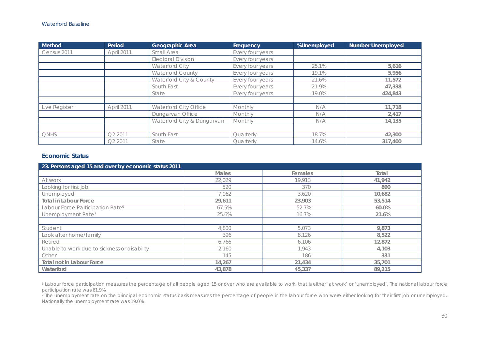| <b>Method</b> | Period              | Geographic Area            | Frequency        | %Unemployed | <b>Number Unemployed</b> |
|---------------|---------------------|----------------------------|------------------|-------------|--------------------------|
| Census 2011   | April 2011          | Small Area                 | Every four years |             |                          |
|               |                     | <b>Electoral Division</b>  | Every four years |             |                          |
|               |                     | Waterford City             | Every four years | 25.1%       | 5,616                    |
|               |                     | <b>Waterford County</b>    | Every four years | 19.1%       | 5.956                    |
|               |                     | Waterford City & County    | Every four years | 21.6%       | 11,572                   |
|               |                     | South East                 | Every four years | 21.9%       | 47,338                   |
|               |                     | State                      | Every four years | 19.0%       | 424.843                  |
|               |                     |                            |                  |             |                          |
| Live Register | April 2011          | Waterford City Office      | Monthly          | N/A         | 11,718                   |
|               |                     | Dungarvan Office           | Monthly          | N/A         | 2,417                    |
|               |                     | Waterford City & Dungarvan | Monthly          | N/A         | 14,135                   |
|               |                     |                            |                  |             |                          |
| <b>ONHS</b>   | Q2 2011             | South East                 | Quarterly        | 18.7%       | 42,300                   |
|               | O <sub>2</sub> 2011 | State                      | Quarterly        | 14.6%       | 317,400                  |

#### **Economic Status**

| 23. Persons aged 15 and over by economic status 2011 |              |         |        |
|------------------------------------------------------|--------------|---------|--------|
|                                                      | <b>Males</b> | Females | Total  |
| At work                                              | 22.029       | 19.913  | 41,942 |
| Looking for first job                                | 520          | 370     | 890    |
| Unemployed                                           | 7,062        | 3,620   | 10,682 |
| <b>Total in Labour Force</b>                         | 29,611       | 23,903  | 53,514 |
| Labour Force Participation Rate <sup>6</sup>         | 67.5%        | 52.7%   | 60.0%  |
| Unemployment Rate <sup>7</sup>                       | 25.6%        | 16.7%   | 21.6%  |
|                                                      |              |         |        |
| Student                                              | 4,800        | 5,073   | 9,873  |
| Look after home/family                               | 396          | 8.126   | 8,522  |
| Retired                                              | 6,766        | 6,106   | 12,872 |
| Unable to work due to sickness or disability         | 2,160        | 1.943   | 4,103  |
| Other                                                | 145          | 186     | 331    |
| <b>Total not in Labour Force</b>                     | 14,267       | 21,434  | 35,701 |
| Waterford                                            | 43,878       | 45,337  | 89,215 |

<sup>6</sup> Labour force participation measures the percentage of all people aged 15 or over who are available to work, that is either 'at work' or 'unemployed'. The national labour force participation rate was 61.9%.

<sup>&</sup>lt;sup>7</sup> The unemployment rate on the principal economic status basis measures the percentage of people in the labour force who were either looking for their first job or unemployed. Nationally the unemployment rate was 19.0%.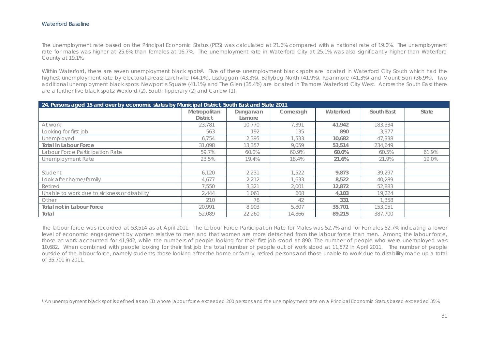The unemployment rate based on the Principal Economic Status (PES) was calculated at 21.6% compared with a national rate of 19.0%. The unemployment rate for males was higher at 25.6% than females at 16.7%. The unemployment rate in Waterford City at 25.1% was also significantly higher than Waterford County at 19.1%.

Within Waterford, there are seven unemployment black spots<sup>8</sup>. Five of these unemployment black spots are located in Waterford City South which had the highest unemployment rate by electoral areas: Larchville (44.1%), Lisduggan (43.3%), Ballybeg North (41.9%), Roanmore (41.3%) and Mount Sion (36.9%). Two additional unemployment black spots: Newport's Square (41.1%) and The Glen (35.4%) are located in Tramore Waterford City West. Across the South East there are a further five black spots: Wexford (2), South Tipperary (2) and Carlow (1).

| 24. Persons aged 15 and over by economic status by Municipal District, South East and State 2011 |                 |           |          |           |            |       |
|--------------------------------------------------------------------------------------------------|-----------------|-----------|----------|-----------|------------|-------|
|                                                                                                  | Metropolitan    | Dungarvan | Comeragh | Waterford | South East | State |
|                                                                                                  | <b>District</b> | Lismore   |          |           |            |       |
| At work                                                                                          | 23,781          | 10,770    | 7.391    | 41,942    | 183,334    |       |
| Looking for first job                                                                            | 563             | 192       | 135      | 890       | 3.977      |       |
| Unemployed                                                                                       | 6.754           | 2.395     | 1,533    | 10,682    | 47,338     |       |
| <b>Total in Labour Force</b>                                                                     | 31,098          | 13,357    | 9.059    | 53,514    | 234,649    |       |
| Labour Force Participation Rate                                                                  | 59.7%           | 60.0%     | 60.9%    | 60.0%     | 60.5%      | 61.9% |
| Unemployment Rate                                                                                | 23.5%           | 19.4%     | 18.4%    | 21.6%     | 21.9%      | 19.0% |
|                                                                                                  |                 |           |          |           |            |       |
| Student                                                                                          | 6.120           | 2.231     | 1.522    | 9.873     | 39.297     |       |
| Look after home/family                                                                           | 4.677           | 2.212     | 1.633    | 8.522     | 40,289     |       |
| Retired                                                                                          | 7.550           | 3,321     | 2.001    | 12,872    | 52,883     |       |
| Unable to work due to sickness or disability                                                     | 2.444           | 1.061     | 608      | 4,103     | 19.224     |       |
| Other                                                                                            | 210             | 78        | 42       | 331       | 1,358      |       |
| Total not in Labour Force                                                                        | 20,991          | 8,903     | 5,807    | 35,701    | 153,051    |       |
| Total                                                                                            | 52,089          | 22,260    | 14,866   | 89,215    | 387,700    |       |

The labour force was recorded at 53,514 as at April 2011. The Labour Force Participation Rate for Males was 52.7% and for Females 52.7% indicating a lower level of economic engagement by women relative to men and that women are more detached from the labour force than men. Among the labour force, those at work accounted for 41,942, while the numbers of people looking for their first job stood at 890. The number of people who were unemployed was 10,682. When combined with people looking for their first job the total number of people out of work stood at 11,572 in April 2011. The number of people outside of the labour force, namely students, those looking after the home or family, retired persons and those unable to work due to disability made up a total of 35,701 in 2011.

<sup>&</sup>lt;sup>8</sup> An unemployment black spot is defined as an ED whose labour force exceeded 200 persons and the unemployment rate on a Principal Economic Status based exceeded 35%.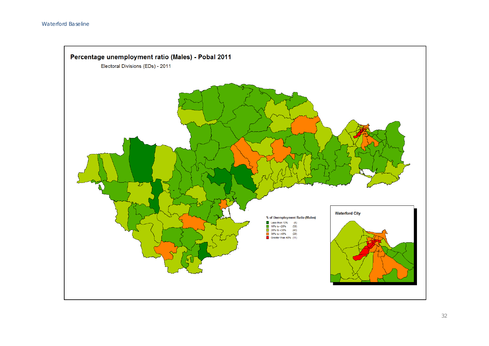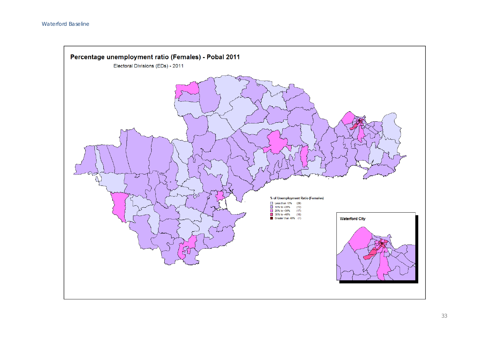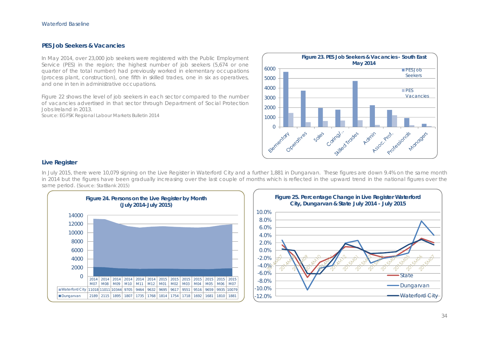#### **PES Job Seekers & Vacancies**

In May 2014, over 23,000 job seekers were registered with the Public Employment Service (PES) in the region; the highest number of job seekers (5,674 or one quarter of the total number) had previously worked in elementary occupations (process plant, construction), one fifth in skilled trades, one in six as operatives, and one in ten in administrative occupations.

Figure 22 shows the level of job seekers in each sector compared to the number of vacancies advertised in that sector through Department of Social Protection Jobs Ireland in 2013.

Source: EGFSK Regional Labour Markets Bulletin 2014



#### **Live Register**

In July 2015, there were 10,079 signing on the Live Register in Waterford City and a further 1,881 in Dungarvan. These figures are down 9.4% on the same month in 2014 but the figures have been gradually increasing over the last couple of months which is reflected in the upward trend in the national figures over the same period. (Source: StatBank 2015)



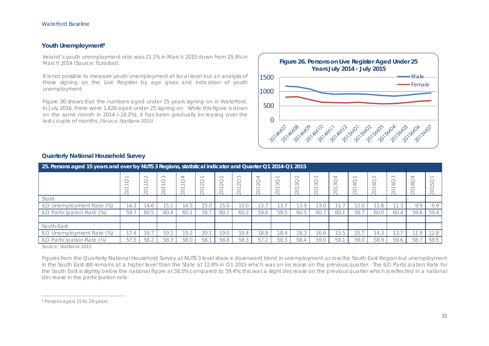#### **Youth Unemployment9**

Ireland's youth unemployment rate was 21.1% in March 2015 down from 25.9% in March 2014 (Source: Eurostat).

It is not possible to measure youth unemployment at local level but an analysis of those signing on the Live Register by age gives and indication of youth unemployment.

Figure 26 shows that the numbers aged under 25 years signing on in Waterford. In July 2016, there were 1,626 aged under 25 signing on. While this figure is down on the same month in 2014 (-18.2%), it has been gradually increasing over the last couple of months. (Source: StatBank 2015)



| 25. Persons aged 15 years and over by NUTS 3 Regions, statistical indicator and Quarter Q1 2014-Q1 2015 |      |              |                    |                         |                 |                                   |                                         |                                                                                    |                 |                                                |                     |      |                                    |                             |                                                                      |                              |      |
|---------------------------------------------------------------------------------------------------------|------|--------------|--------------------|-------------------------|-----------------|-----------------------------------|-----------------------------------------|------------------------------------------------------------------------------------|-----------------|------------------------------------------------|---------------------|------|------------------------------------|-----------------------------|----------------------------------------------------------------------|------------------------------|------|
|                                                                                                         | 20   | $\sim$<br>20 | $\infty$<br>$\sim$ | 4<br>$\sim$<br>$\sim$ 1 | $\approx$<br>20 | $\sim$<br>$\overline{\sim}$<br>20 | $\infty$<br>$\overline{\sim}$<br>$\sim$ | $\overline{\phantom{a}}$<br>$\sim$<br>$\sim$<br>$\overline{\phantom{a}}$<br>$\sim$ | $\approx$<br>20 | $\sim$<br>$\sim$<br>$\infty$<br>$\overline{C}$ | S<br>$\infty$<br>SC |      | $\overline{\phantom{a}}$<br>$\sim$ | $\sim$<br>$\sim$<br>¥<br>20 | $\infty$<br>$\sim$<br>$\overline{}$<br>$\overline{\phantom{0}}$<br>≍ | 4<br>$\overline{}$<br>$\sim$ |      |
| State                                                                                                   |      |              |                    |                         |                 |                                   |                                         |                                                                                    |                 |                                                |                     |      |                                    |                             |                                                                      |                              |      |
| ILO Unemployment Rate (%)                                                                               | 14.3 | 14.6         | 15.1               | 14.5                    | 15.0            | 15.0                              | 15.0                                    | 13.7                                                                               | 3.              | 13.9                                           | 13.0                | 1.7  | $\cap$<br>LZ.U                     | .8                          | 11                                                                   | 9.9                          | 9.9  |
| ILO Participation Rate (%)                                                                              | 59.7 | 60.5         | 60.4               | 60.                     | 59.7            | 60.1                              | 60.2                                    | 59.6                                                                               | 59.5            | 60.5                                           | 60.7                | 60.1 | 59.7                               | 60.0                        | 60.4                                                                 | 59.8                         | 59.4 |
|                                                                                                         |      |              |                    |                         |                 |                                   |                                         |                                                                                    |                 |                                                |                     |      |                                    |                             |                                                                      |                              |      |
| South-East                                                                                              |      |              |                    |                         |                 |                                   |                                         |                                                                                    |                 |                                                |                     |      |                                    |                             |                                                                      |                              |      |
| ILO Unemployment Rate (%)                                                                               | 17.4 | 18.7         | 19.2               | 19.2                    | 20.1            | 19.0                              | 19.4                                    | 18.8                                                                               | 18.4            | 18.3                                           | 16.6                | 15.5 | 15.7                               | $\wedge$<br>14.3            | 13.                                                                  | 11.9                         | 12.8 |
| ILO Participation Rate (%)                                                                              | 57.5 | 58.2         | 58.3               | 58.0                    | 58.1            | 58.8                              | 58.3                                    | 57.2                                                                               | 58.3            | 58.4                                           | 59.0                | 59.  | 59.0                               | 58.9                        | 59.6                                                                 | 58.                          | 58.5 |

#### **Quarterly National Household Survey**

Source: StatBank 2015

Figures from the Quarterly National Household Survey at NUTS 3 level show a downward trend in unemployment across the South East Region but unemployment in the South East still remains at a higher level than the State at 12.8% in Q1 2015 which was an increase on the previous quarter. The ILO Participation Rate for the South East is slightly below the national figure at 58.5% compared to 59.4%; this was a slight decrease on the previous quarter which is reflected in a national decrease in the participation rate.

<sup>9</sup> Persons aged 15 to 24 years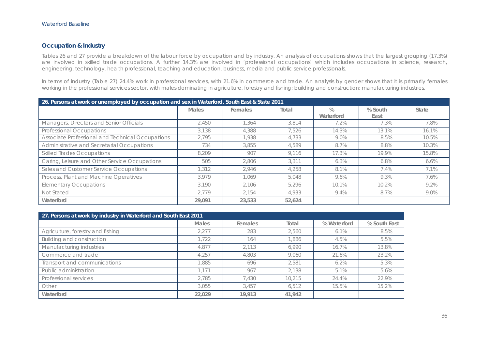## **Occupation & Industry**

Tables 26 and 27 provide a breakdown of the labour force by occupation and by industry. An analysis of occupations shows that the largest grouping (17.3%) are involved in skilled trade occupations. A further 14.3% are involved in 'professional occupations' which includes occupations in science, research, engineering, technology, health professional, teaching and education, business, media and public service professionals.

In terms of industry (Table 27) 24.4% work in professional services, with 21.6% in commerce and trade. An analysis by gender shows that it is primarily females working in the professional services sector, with males dominating in agriculture, forestry and fishing; building and construction; manufacturing industries.

|                                                  | 26. Persons at work or unemployed by occupation and sex in Waterford, South East & State 2011 |         |        |                   |                 |         |  |  |  |
|--------------------------------------------------|-----------------------------------------------------------------------------------------------|---------|--------|-------------------|-----------------|---------|--|--|--|
|                                                  | <b>Males</b>                                                                                  | Females | Total  | $\%$<br>Waterford | % South<br>East | State   |  |  |  |
| Managers, Directors and Senior Officials         | 2.450                                                                                         | 1.364   | 3,814  | 7.2%              | 7.3%            | 7.8%    |  |  |  |
| Professional Occupations                         | 3,138                                                                                         | 4,388   | 7,526  | 14.3%             | 13.1%           | 16.1%   |  |  |  |
| Associate Professional and Technical Occupations | 2.795                                                                                         | 1.938   | 4.733  | 9.0%              | 8.5%            | 10.5%   |  |  |  |
| Administrative and Secretarial Occupations       | 734                                                                                           | 3,855   | 4.589  | 8.7%              | 8.8%            | 10.3%   |  |  |  |
| <b>Skilled Trades Occupations</b>                | 8,209                                                                                         | 907     | 9.116  | 17.3%             | 19.9%           | 15.8%   |  |  |  |
| Caring, Leisure and Other Service Occupations    | 505                                                                                           | 2,806   | 3.311  | 6.3%              | 6.8%            | $6.6\%$ |  |  |  |
| Sales and Customer Service Occupations           | 1.312                                                                                         | 2.946   | 4,258  | 8.1%              | 7.4%            | 7.1%    |  |  |  |
| Process, Plant and Machine Operatives            | 3.979                                                                                         | 1.069   | 5,048  | 9.6%              | 9.3%            | 7.6%    |  |  |  |
| <b>Elementary Occupations</b>                    | 3.190                                                                                         | 2,106   | 5,296  | 10.1%             | 10.2%           | 9.2%    |  |  |  |
| Not Stated                                       | 2.779                                                                                         | 2.154   | 4.933  | 9.4%              | 8.7%            | 9.0%    |  |  |  |
| Waterford                                        | 29,091                                                                                        | 23,533  | 52.624 |                   |                 |         |  |  |  |

| 27. Persons at work by industry in Waterford and South East 2011 |              |         |        |             |              |  |  |  |
|------------------------------------------------------------------|--------------|---------|--------|-------------|--------------|--|--|--|
|                                                                  | <b>Males</b> | Females | Total  | % Waterford | % South East |  |  |  |
| Agriculture, forestry and fishing                                | 2.277        | 283     | 2.560  | 6.1%        | 8.5%         |  |  |  |
| Building and construction                                        | 1,722        | 164     | 1,886  | 4.5%        | 5.5%         |  |  |  |
| Manufacturing industries                                         | 4.877        | 2,113   | 6.990  | 16.7%       | 13.8%        |  |  |  |
| Commerce and trade                                               | 4.257        | 4,803   | 9,060  | 21.6%       | 23.2%        |  |  |  |
| Transport and communications                                     | 1,885        | 696     | 2.581  | 6.2%        | 5.3%         |  |  |  |
| Public administration                                            | 1.171        | 967     | 2.138  | 5.1%        | 5.6%         |  |  |  |
| Professional services                                            | 2,785        | 7.430   | 10,215 | 24.4%       | 22.9%        |  |  |  |
| Other                                                            | 3.055        | 3.457   | 6.512  | 15.5%       | 15.2%        |  |  |  |
| Waterford                                                        | 22.029       | 19.913  | 41,942 |             |              |  |  |  |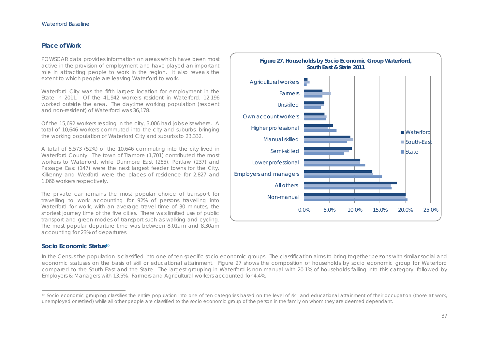#### **Place of Work**

POWSCAR data provides information on areas which have been most active in the provision of employment and have played an important role in attracting people to work in the region. It also reveals the extent to which people are leaving Waterford to work.

Waterford City was the fifth largest location for employment in the State in 2011. Of the 41,942 workers resident in Waterford, 12,196 worked outside the area. The daytime working population (resident and non-resident) of Waterford was 36,178.

Of the 15,692 workers residing in the city, 3,006 had jobs elsewhere. A total of 10,646 workers commuted into the city and suburbs, bringing the working population of Waterford City and suburbs to 23,332.

A total of 5,573 (52%) of the 10,646 commuting into the city lived in Waterford County. The town of Tramore (1,701) contributed the most workers to Waterford, while Dunmore East (265), Portlaw (237) and Passage East (147) were the next largest feeder towns for the City. Kilkenny and Wexford were the places of residence for 2,827 and 1,066 workers respectively.

The private car remains the most popular choice of transport for travelling to work accounting for 92% of persons travelling into Waterford for work, with an average travel time of 30 minutes, the shortest journey time of the five cities. There was limited use of public transport and green modes of transport such as walking and cycling. The most popular departure time was between 8.01am and 8.30am accounting for 23% of departures.

#### **Socio Economic Status**<sup>10</sup>

In the Census the population is classified into one of ten specific socio economic groups. The classification aims to bring together persons with similar social and economic statuses on the basis of skill or educational attainment. Figure 27 shows the composition of households by socio economic group for Waterford compared to the South East and the State. The largest grouping in Waterford is non-manual with 20.1% of households falling into this category, followed by Employers & Managers with 13.5%. Farmers and Agricultural workers accounted for 4.4%.



<sup>10</sup> Socio economic grouping classifies the entire population into one of ten categories based on the level of skill and educational attainment of their occupation (those at work, unemployed or retired) while all other people are classified to the socio economic group of the person in the family on whom they are deemed dependant.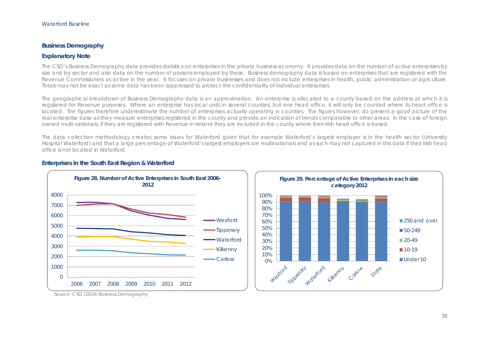#### **Business Demography**

#### **Explanatory Note**

The CSO's Business Demography data provides statistics on enterprises in the private business economy. It provides data on the number of active enterprises by size and by sector and also data on the number of persons employed by these. Business demography data is based on enterprises that are registered with the Revenue Commissioners as active in the year. It focuses on private businesses and does not include enterprises in health, public administration or agriculture. Totals may not be exact as some data has been suppressed to protect the confidentiality of individual enterprises.

The geographical breakdown of Business Demography data is an approximation. An enterprise is allocated to a county based on the address at which it is registered for Revenue purposes. Where an enterprise has local units in several counties, but one head office, it will only be counted where its head office is located. The figures therefore underestimate the number of enterprises actually operating in counties. The figures however, do present a good picture of the real enterprise base as they measure enterprises registered in the county and provide an indication of trends comparable to other areas. In the case of foreign owned multi nationals, if they are registered with Revenue in Ireland they are included in the county where their Irish head office is based.

The data collection methodology creates some issues for Waterford given that for example Waterford's largest employer is in the health sector (University Hospital Waterford) and that a large percentage of Waterford's largest employers are multinationals and as such may not captured in this data if their Irish head office is not located in Waterford.







Source: CSO (2014) Business Demography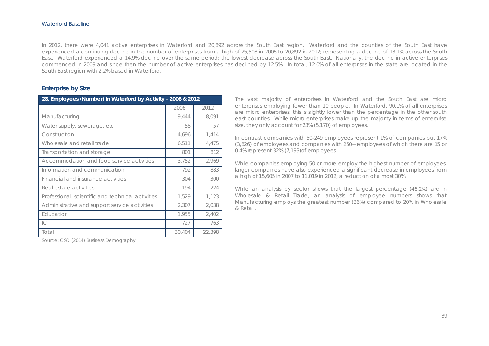In 2012, there were 4,041 active enterprises in Waterford and 20,892 across the South East region. Waterford and the counties of the South East have experienced a continuing decline in the number of enterprises from a high of 25,508 in 2006 to 20,892 in 2012; representing a decline of 18.1% across the South East. Waterford experienced a 14.9% decline over the same period; the lowest decrease across the South East. Nationally, the decline in active enterprises commenced in 2009 and since then the number of active enterprises has declined by 12.5%. In total, 12.0% of all enterprises in the state are located in the South East region with 2.2% based in Waterford.

#### **Enterprise by Size**

| 28. Employees (Number) in Waterford by Activity - 2006 & 2012 |        |        |
|---------------------------------------------------------------|--------|--------|
|                                                               | 2006   | 2012   |
| Manufacturing                                                 | 9,444  | 8,091  |
| Water supply, sewerage, etc                                   | 58     | 57     |
| Construction                                                  | 4,696  | 1,414  |
| Wholesale and retail trade                                    | 6,511  | 4,475  |
| Transportation and storage                                    | 801    | 812    |
| Accommodation and food service activities                     | 3,752  | 2,969  |
| Information and communication                                 | 792    | 883    |
| Financial and insurance activities                            | 304    | 300    |
| Real estate activities                                        | 194    | 224    |
| Professional, scientific and technical activities             | 1,529  | 1,123  |
| Administrative and support service activities                 | 2,307  | 2,038  |
| Education                                                     | 1,955  | 2,402  |
| ICT                                                           | 727    | 763    |
| Total                                                         | 30,404 | 22,398 |

Source: CSO (2014) Business Demography

The vast majority of enterprises in Waterford and the South East are micro enterprises employing fewer than 10 people. In Waterford, 90.1% of all enterprises are micro enterprises; this is slightly lower than the percentage in the other south east counties. While micro enterprises make up the majority in terms of enterprise size, they only account for 23% (5,170) of employees.

In contrast companies with 50-249 employees represent 1% of companies but 17% (3,826) of employees and companies with 250+ employees of which there are 15 or 0.4% represent 32% (7,193)of employees.

While companies employing 50 or more employ the highest number of employees, larger companies have also experienced a significant decrease in employees from a high of 15,605 in 2007 to 11,019 in 2012; a reduction of almost 30%.

While an analysis by sector shows that the largest percentage (46.2%) are in Wholesale & Retail Trade, an analysis of employee numbers shows that Manufacturing employs the greatest number (36%) compared to 20% in Wholesale & Retail.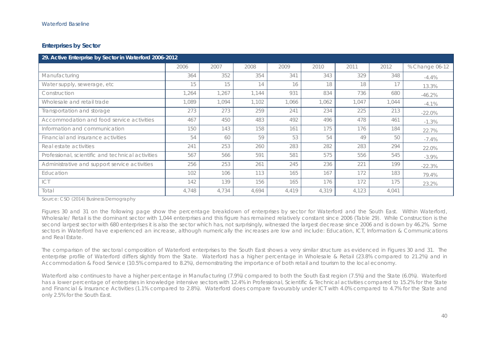## **Enterprises by Sector**

| 29. Active Enterprise by Sector in Waterford 2006-2012 |       |       |       |       |       |       |       |                |
|--------------------------------------------------------|-------|-------|-------|-------|-------|-------|-------|----------------|
|                                                        | 2006  | 2007  | 2008  | 2009  | 2010  | 2011  | 2012  | % Change 06-12 |
| Manufacturing                                          | 364   | 352   | 354   | 341   | 343   | 329   | 348   | $-4.4%$        |
| Water supply, sewerage, etc                            | 15    | 15    | 14    | 16    | 18    | 18    | 17    | 13.3%          |
| Construction                                           | 1,264 | 1,267 | 1,144 | 931   | 834   | 736   | 680   | $-46.2%$       |
| Wholesale and retail trade                             | 1,089 | 1,094 | 1,102 | 1.066 | 1.062 | 1,047 | 1,044 | $-4.1\%$       |
| Transportation and storage                             | 273   | 273   | 259   | 241   | 234   | 225   | 213   | $-22.0%$       |
| Accommodation and food service activities              | 467   | 450   | 483   | 492   | 496   | 478   | 461   | $-1.3%$        |
| Information and communication                          | 150   | 143   | 158   | 161   | 175   | 176   | 184   | 22.7%          |
| Financial and insurance activities                     | 54    | 60    | 59    | 53    | 54    | 49    | 50    | $-7.4%$        |
| Real estate activities                                 | 241   | 253   | 260   | 283   | 282   | 283   | 294   | 22.0%          |
| Professional, scientific and technical activities      | 567   | 566   | 591   | 581   | 575   | 556   | 545   | $-3.9\%$       |
| Administrative and support service activities          | 256   | 253   | 261   | 245   | 236   | 221   | 199   | $-22.3%$       |
| Education                                              | 102   | 106   | 113   | 165   | 167   | 172   | 183   | 79.4%          |
| ICT                                                    | 142   | 139   | 156   | 165   | 176   | 172   | 175   | 23.2%          |
| Total                                                  | 4,748 | 4,734 | 4,694 | 4,419 | 4,319 | 4,123 | 4,041 |                |

Source: CSO (2014) Business Demography

Figures 30 and 31 on the following page show the percentage breakdown of enterprises by sector for Waterford and the South East. Within Waterford, Wholesale/ Retail is the dominant sector with 1,044 enterprises and this figure has remained relatively constant since 2006 (Table 29). While Construction is the second largest sector with 680 enterprises it is also the sector which has, not surprisingly, witnessed the largest decrease since 2006 and is down by 46.2%. Some sectors in Waterford have experienced an increase, although numerically the increases are low and include: Education, ICT, Information & Communications and Real Estate.

The comparison of the sectoral composition of Waterford enterprises to the South East shows a very similar structure as evidenced in Figures 30 and 31. The enterprise profile of Waterford differs slightly from the State. Waterford has a higher percentage in Wholesale & Retail (23.8% compared to 21.2%) and in Accommodation & Food Service (10.5% compared to 8.2%), demonstrating the importance of both retail and tourism to the local economy.

Waterford also continues to have a higher percentage in Manufacturing (7.9%) compared to both the South East region (7.5%) and the State (6.0%). Waterford has a lower percentage of enterprises in knowledge intensive sectors with 12.4% in Professional, Scientific & Technical activities compared to 15.2% for the State and Financial & Insurance Activities (1.1% compared to 2.8%). Waterford does compare favourably under ICT with 4.0% compared to 4.7% for the State and only 2.5% for the South East.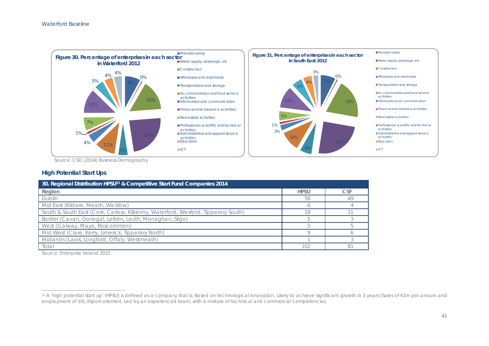

Source: CSO (2014) Business Demography

## **High Potential Start Ups**

| 30. Regional Distribution HPSU <sup>11</sup> & Competitive Start Fund Companies 2014 |             |            |  |  |  |  |  |
|--------------------------------------------------------------------------------------|-------------|------------|--|--|--|--|--|
| Region                                                                               | <b>HPSU</b> | <b>CSF</b> |  |  |  |  |  |
| Dublin                                                                               | 58          |            |  |  |  |  |  |
| Mid East (Kildare, Meath, Wicklow)                                                   |             |            |  |  |  |  |  |
| South & South East (Cork, Carlow, Kilkenny, Waterford, Wexford, Tipperary South)     | 1 Q         |            |  |  |  |  |  |
| Border (Cavan, Donegal, Leitrim, Louth, Monaghan, Sligo)                             |             |            |  |  |  |  |  |
| West (Galway, Mayo, Roscommon)                                                       |             |            |  |  |  |  |  |
| Mid-West (Clare, Kerry, Limerick, Tipperary North)                                   |             |            |  |  |  |  |  |
| Midlands (Laois, Longford, Offaly, Westmeath)                                        |             |            |  |  |  |  |  |
| Total                                                                                | 102         | 8          |  |  |  |  |  |

Source: Enterprise Ireland 2015

<sup>11</sup> A 'high potential start up' (HPSU) is defined as a company that is: Based on technological innovation, Likely to achieve significant growth in 3 years (Sales of €1m per annum and employment of 10), Export oriented, Led by an experienced team, with a mixture of technical and commercial competencies.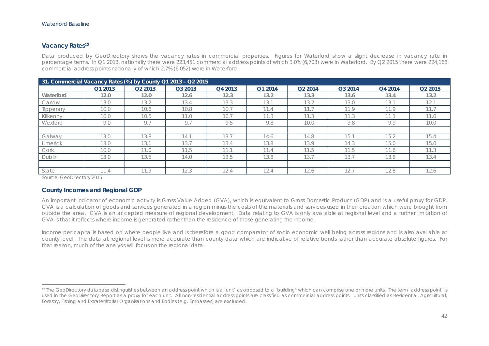#### **Vacancy Rates12**

Data produced by GeoDirectory shows the vacancy rates in commercial properties. Figures for Waterford show a slight decrease in vacancy rate in percentage terms. In Q1 2013, nationally there were 223,451 commercial address points of which 3.0% (6,703) were in Waterford. By Q2 2015 there were 224,168 commercial address points nationally of which 2.7% (6,052) were in Waterford.

|               | 31. Commercial Vacancy Rates (%) by County Q1 2013 - Q2 2015 |                     |         |         |         |         |         |         |                     |
|---------------|--------------------------------------------------------------|---------------------|---------|---------|---------|---------|---------|---------|---------------------|
|               | Q1 2013                                                      | Q <sub>2</sub> 2013 | Q3 2013 | Q4 2013 | Q1 2014 | Q2 2014 | Q3 2014 | Q4 2014 | Q <sub>2</sub> 2015 |
| Waterford     | 12.0                                                         | 12.0                | 12.6    | 12.3    | 13.2    | 13.3    | 13.6    | 13.4    | 13.2                |
| Carlow        | 13.0                                                         | 13.2                | 13.4    | 13.3    | 13.1    | 13.2    | 13.0    | 13.1    | 12.1                |
| Tipperary     | 10.0                                                         | 10.6                | 10.8    | 10.7    | 11.4    |         | 11.9    | 11.9    | 11.7                |
| Kilkenny      | 10.0                                                         | 10.5                | 11.0    | 10.7    | 11.3    | 11.3    | 11.3    | 11.1    | 11.0                |
| Wexford       | 9.0                                                          | 9.7                 | 9.7     | 9.5     | 9.8     | 10.0    | 9.8     | 9.9     | 10.0                |
|               |                                                              |                     |         |         |         |         |         |         |                     |
| Galway        | 13.0                                                         | 13.8                | 14.1    | 13.7    | 14.6    | 14.8    | 15.1    | 15.2    | 15.4                |
| Limerick      | 13.0                                                         | 13.1                | 13.7    | 13.4    | 13.8    | 13.9    | 14.3    | 15.0    | 15.0                |
| Cork          | 10.0                                                         | 11.0                | 11.5    | 11.1    | 11.4    | 11.5    | 11.5    | 11.6    | 11.3                |
| <b>Dublin</b> | 13.0                                                         | 13.5                | 14.0    | 13.5    | 13.8    | 13.7    | 13.7    | 13.8    | 13.4                |
|               |                                                              |                     |         |         |         |         |         |         |                     |
| State         | 11.4                                                         | 11.9                | 12.3    | 12.4    | 12.4    | 12.6    | 12.7    | 12.8    | 12.6                |

Source: GeoDirectory 2015

#### **County Incomes and Regional GDP**

An important indicator of economic activity is Gross Value Added (GVA), which is equivalent to Gross Domestic Product (GDP) and is a useful proxy for GDP. GVA is a calculation of goods and services generated in a region minus the costs of the materials and services used in their creation which were brought from outside the area. GVA is an accepted measure of regional development. Data relating to GVA is only available at regional level and a further limitation of GVA is that it reflects where income is generated rather than the residence of those generating the income.

Income per capita is based on where people live and is therefore a good comparator of socio economic well being across regions and is also available at county level. The data at regional level is more accurate than county data which are indicative of relative trends rather than accurate absolute figures. For that reason, much of the analysis will focus on the regional data.

<sup>&</sup>lt;sup>12</sup> The GeoDirectory database distinguishes between an address point which is a 'unit' as opposed to a 'building' which can comprise one or more units. The term 'address point' is used in the GeoDirectory Report as a proxy for each unit. All non-residential address points are classified as commercial address points. Units classified as Residential, Agricultural, Forestry, Fishing and Extraterritorial Organisations and Bodies (e.g. Embassies) are excluded.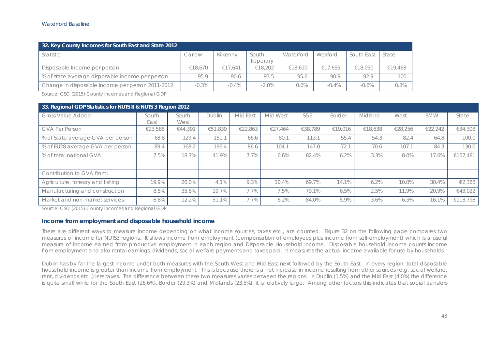| 32. Key County Incomes for South East and State 2012 |         |          |                    |           |         |            |         |  |
|------------------------------------------------------|---------|----------|--------------------|-----------|---------|------------|---------|--|
| <b>Statistic</b>                                     | Carlow  | Kilkenny | South<br>Tipperary | Waterford | Wexford | South East | State   |  |
| Disposable Income per person                         | €18,670 | €17.641  | €18,202            | €18.610   | €17.695 | €18.090    | €19,468 |  |
| % of state average disposable income per person      | 95.9    | 90.6     | 93.5               | 95.6      | 90.9    | 92.9       | 100     |  |
| Change in disposable income per person 2011-2012     | $-0.3%$ | $-0.4\%$ | $-2.0%$            | 0.0%      | $-0.4%$ | $-0.6%$    | 0.8%    |  |

Source: CSO (2015) County Incomes and Regional GDP

| 33. Regional GDP Statistics for NUTS II & NUTS 3 Region 2012 |               |               |               |          |          |         |         |         |         |            |          |
|--------------------------------------------------------------|---------------|---------------|---------------|----------|----------|---------|---------|---------|---------|------------|----------|
| <b>Gross Value Added</b>                                     | South<br>East | South<br>West | <b>Dublin</b> | Mid East | Mid West | S&E     | Border  | Midland | West    | <b>BMW</b> | State    |
| GVA Per Person                                               | €23,588       | €44,391       | €51,839       | €22,863  | €27.464  | €38,789 | €19,016 | €18,638 | €28,256 | €22,242    | €34,308  |
| % of State average GVA per person                            | 68.8          | 129.4         | 151.1         | 66.6     | 80.1     | 113.1   | 55.4    | 54.3    | 82.4    | 64.8       | 100.0    |
| % of EU28 average GVA per person                             | 89.4          | 168.2         | 196.4         | 86.6     | 104.1    | 147.0   | 72.1    | 70.6    | 107.1   | 84.3       | 130.0    |
| % of total national GVA                                      | 7.5%          | 18.7%         | 41.9%         | 7.7%     | 6.6%     | 82.4%   | 6.2%    | 3.3%    | 8.0%    | 17.6%      | €157,481 |
|                                                              |               |               |               |          |          |         |         |         |         |            |          |
| Contribution to GVA from:                                    |               |               |               |          |          |         |         |         |         |            |          |
| Agriculture, forestry and fishing                            | 19.9%         | 26.0%         | 4.1%          | 9.3%     | 10.4%    | 69.7%   | 14.1%   | 6.2%    | 10.0%   | 30.4%      | €2,388   |
| Manufacturing and construction                               | 8.5%          | 35.8%         | 19.7%         | 7.7%     | 7.5%     | 79.1%   | 6.5%    | 2.5%    | 11.9%   | 20.9%      | €43.022  |
| Market and non-market services                               | 6.8%          | 12.2%         | 51.1%         | 7.7%     | 6.2%     | 84.0%   | 5.9%    | 3.6%    | 6.5%    | 16.1%      | €113.798 |

Source: CSO (2015) County Incomes and Regional GDP

#### **Income from employment and disposable household income**

There are different ways to measure income depending on what income sources, taxes etc., are counted. Figure 32 on the following page compares two measures of income for NUTS3 regions. It shows income from employment (compensation of employees plus income from self-employment) which is a useful measure of income earned from productive employment in each region and Disposable Household Income. Disposable household income counts income from employment and also rental earnings, dividends, social welfare payments and taxes paid. It measures the actual income available for use by households.

Dublin has by far the largest income under both measures with the South West and Mid East next followed by the South East. In every region, total disposable household income is greater than income from employment. This is because there is a net increase in income resulting from other sources (e.g. social welfare, rent, dividends etc.,) less taxes. The difference between these two measures varies between the regions. In Dublin (1.5%) and the Mid East (4.0%) the difference is quite small while for the South East (26.6%), Border (29.3%) and Midlands (23.5%), it is relatively large. Among other factors this indicates that social transfers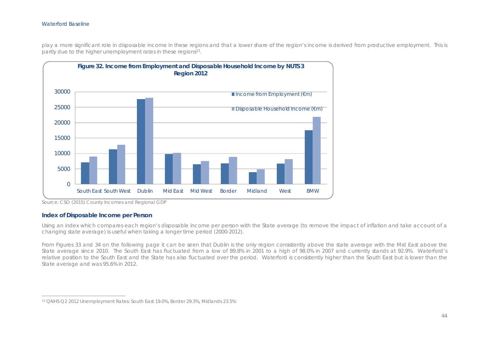play a more significant role in disposable income in these regions and that a lower share of the region's income is derived from productive employment. This is partly due to the higher unemployment rates in these regions<sup>13</sup>.



Source: CSO (2015) County Incomes and Regional GDP

#### **Index of Disposable Income per Person**

Using an index which compares each region's disposable income per person with the State average (to remove the impact of inflation and take account of a changing state average) is useful when taking a longer time period (2000-2012).

From Figures 33 and 34 on the following page it can be seen that Dublin is the only region consistently above the state average with the Mid East above the State average since 2010. The South East has fluctuated from a low of 89.8% in 2001 to a high of 98.0% in 2007 and currently stands at 92.9%. Waterford's relative position to the South East and the State has also fluctuated over the period. Waterford is consistently higher than the South East but is lower than the State average and was 95.6% in 2012.

<sup>13</sup> QNHS Q2 2012 Unemployment Rates: South East 19.0%, Border 29.3%, Midlands 23.5%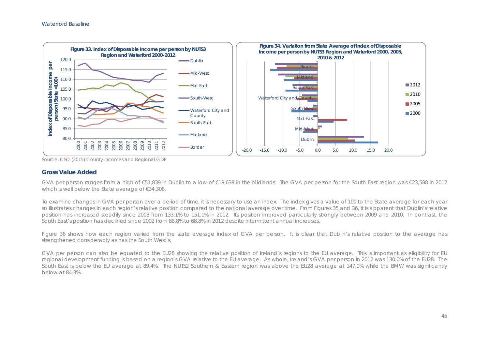

Source: CSO (2015) County Incomes and Regional GDP

#### **Gross Value Added**

GVA per person ranges from a high of  $\epsilon$ 51,839 in Dublin to a low of  $\epsilon$ 18,638 in the Midlands. The GVA per person for the South East region was  $\epsilon$ 23,588 in 2012 which is well below the State average of €34,308.

To examine changes in GVA per person over a period of time, it is necessary to use an index. The index gives a value of 100 to the State average for each year so illustrates changes in each region's relative position compared to the national average over time. From Figures 35 and 36, it is apparent that Dublin's relative position has increased steadily since 2003 from 133.1% to 151.1% in 2012. Its position improved particularly strongly between 2009 and 2010. In contrast, the South East's position has declined since 2002 from 88.8% to 68.8% in 2012 despite intermittent annual increases.

Figure 36 shows how each region varied from the state average index of GVA per person. It is clear that Dublin's relative position to the average has strengthened considerably as has the South West's.

GVA per person can also be equated to the EU28 showing the relative position of Ireland's regions to the EU average. This is important as eligibility for EU regional development funding is based on a region's GVA relative to the EU average. As whole, Ireland's GVA per person in 2012 was 130.0% of the EU28. The South East is below the EU average at 89.4%. The NUTS2 Southern & Eastern region was above the EU28 average at 147.0% while the BMW was significantly below at 84.3%.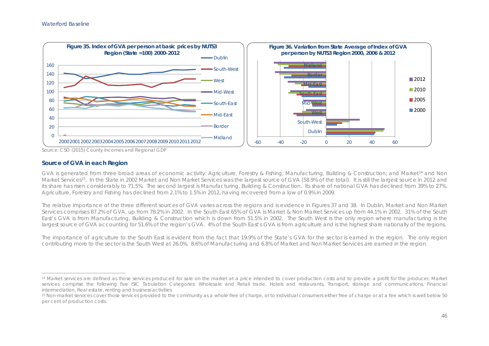

Source: CSO (2015) County Incomes and Regional GDP

#### **Source of GVA in each Region**

GVA is generated from three broad areas of economic activity: Agriculture, Forestry & Fishing; Manufacturing, Building & Construction; and Market14 and Non Market Services<sup>15</sup>. In the State in 2002 Market and Non Market Services was the largest source of GVA (58.9% of the total). It is still the largest source in 2012 and its share has risen considerably to 71.5%. The second largest is Manufacturing, Building & Construction. Its share of national GVA has declined from 39% to 27%. Agriculture, Forestry and Fishing has declined from 2.1% to 1.5% in 2012, having recovered from a low of 0.9% in 2009.

The relative importance of the three different sources of GVA varies across the regions and is evidence in Figures 37 and 38. In Dublin, Market and Non Market Services comprises 87.2% of GVA, up from 78.2% in 2002. In the South East 65% of GVA is Market & Non Market Services up from 44.1% in 2002. 31% of the South East's GVA is from Manufacturing, Building & Construction which is down from 51.5% in 2002. The South West is the only region where manufacturing is the largest source of GVA accounting for 51.6% of the region's GVA. 4% of the South East's GVA is from agriculture and is the highest share nationally of the regions.

The importance of agriculture to the South East is evident from the fact that 19.9% of the State's GVA for the sector is earned in the region. The only region contributing more to the sector is the South West at 26.0%. 8.6% of Manufacturing and 6.8% of Market and Non Market Services are earned in the region.

<sup>&</sup>lt;sup>14</sup> Market services are defined as those services produced for sale on the market at a price intended to cover production costs and to provide a profit for the producer. Market services comprise the following five ISIC Tabulation Categories: Wholesale and Retail trade, Hotels and restaurants, Transport, storage and communications, Financial intermediation, Real estate, renting and business activities

<sup>15</sup> Non-market services cover those services provided to the community as a whole free of charge, or to individual consumers either free of charge or at a fee which is well below 50 per cent of production costs.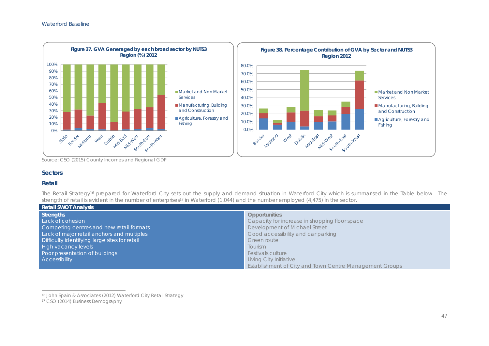

Source: CSO (2015) County Incomes and Regional GDP

## **Sectors**

#### **Retail**

The Retail Strategy<sup>16</sup> prepared for Waterford City sets out the supply and demand situation in Waterford City which is summarised in the Table below. The strength of retail is evident in the number of enterprises<sup>17</sup> in Waterford (1,044) and the number employed (4,475) in the sector.

| <b>Retail SWOT Analysis</b>                   |                                                         |
|-----------------------------------------------|---------------------------------------------------------|
| <b>Strengths</b>                              | <b>Opportunities</b>                                    |
| Lack of cohesion                              | Capacity for increase in shopping floor space           |
| Competing centres and new retail formats      | Development of Michael Street                           |
| Lack of major retail anchors and multiples    | Good accessibility and car parking                      |
| Difficulty identifying large sites for retail | Green route                                             |
| <b>High vacancy levels</b>                    | <b>Tourism</b>                                          |
| Poor presentation of buildings                | <b>Festivals culture</b>                                |
| <b>Accessibility</b>                          | Living City Initiative                                  |
|                                               | Establishment of City and Town Centre Management Groups |

<sup>16</sup> John Spain & Associates (2012) Waterford City Retail Strategy

<sup>&</sup>lt;sup>17</sup> CSO (2014) Business Demography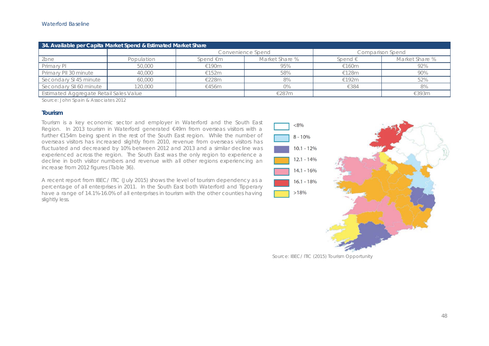| 34. Available per Capita Market Spend & Estimated Market Share |            |          |                   |                  |                         |  |  |  |  |  |
|----------------------------------------------------------------|------------|----------|-------------------|------------------|-------------------------|--|--|--|--|--|
|                                                                |            |          | Convenience Spend |                  | <b>Comparison Spend</b> |  |  |  |  |  |
| Zone                                                           | Population | Spend €m | Market Share %    | Spend $\epsilon$ | Market Share %          |  |  |  |  |  |
| Primary PI                                                     | 50,000     | €190m    | 95%               | €160m            | 92%                     |  |  |  |  |  |
| Primary PII 30 minute                                          | 40,000     | €152 $m$ | 58%               | €128m            | 90%                     |  |  |  |  |  |
| Secondary SI 45 minute                                         | 60,000     | €228m    | 8%                | €192m            | 52%                     |  |  |  |  |  |
| Secondary SII 60 minute                                        | 20,000     | €456m    | 0%                | €384             | 8%                      |  |  |  |  |  |
| Estimated Aggregate Retail Sales Value                         |            |          | €287m             |                  | €393m                   |  |  |  |  |  |

Source: John Spain & Associates 2012

#### **Tourism**

Tourism is a key economic sector and employer in Waterford and the South East Region. In 2013 tourism in Waterford generated €49m from overseas visitors with a further €154m being spent in the rest of the South East region. While the number of overseas visitors has increased slightly from 2010, revenue from overseas visitors has fluctuated and decreased by 10% between 2012 and 2013 and a similar decline was experienced across the region. The South East was the only region to experience a decline in both visitor numbers and revenue with all other regions experiencing an increase from 2012 figures (Table 36).

A recent report from IBEC/ ITIC (July 2015) shows the level of tourism dependency as a percentage of all enterprises in 2011. In the South East both Waterford and Tipperary have a range of 14.1%-16.0% of all enterprises in tourism with the other counties having slightly less.



Source: IBEC/ ITIC (2015) Tourism Opportunity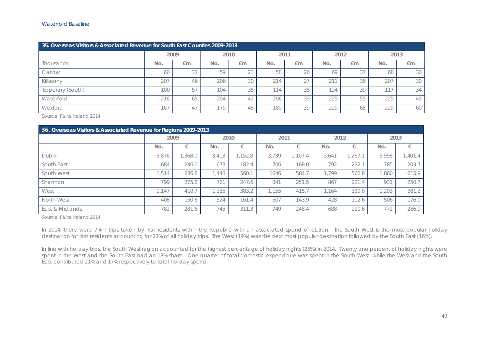| 35. Overseas Visitors & Associated Revenue for South East Counties 2009-2013 |      |    |     |              |     |               |                         |      |      |    |  |  |
|------------------------------------------------------------------------------|------|----|-----|--------------|-----|---------------|-------------------------|------|------|----|--|--|
|                                                                              | 2009 |    |     | 2010         |     | 2011          |                         | 2012 | 2013 |    |  |  |
| <b>Thousands</b>                                                             | No.  | €m | No. | €m           | No. | €m            | No.                     | €m   | No.  | €m |  |  |
| Carlow                                                                       | 60   | 31 | 59  | $\cap$<br>23 | 58  | 26            | 69                      | 3    | 68   | 30 |  |  |
| Kilkenny                                                                     | 207  | 46 | 206 | 30           | 214 | $\cap$ $\top$ | $\cap$ 11<br>$\angle$ 1 | 36   | 207  | 30 |  |  |
| Tipperary (South)                                                            | 100  | 57 | 104 | 35           | 114 | 38            | 124                     | 39   | 117  | 34 |  |  |
| Waterford                                                                    | 216  | 65 | 204 | $\leftarrow$ | 206 | 39            | 225                     | 55   | 225  | 49 |  |  |
| Wexford                                                                      | 167  | 47 | 179 | 45           | 180 | 39            | 229                     | 65   | 229  | 60 |  |  |

Source: Fáilte Ireland 2014

| 36. Overseas Visitors & Associated Revenue for Regions 2009-2013 |       |        |       |        |       |         |       |         |       |         |  |  |
|------------------------------------------------------------------|-------|--------|-------|--------|-------|---------|-------|---------|-------|---------|--|--|
|                                                                  |       | 2009   |       | 2010   |       | 2011    |       | 2012    | 2013  |         |  |  |
|                                                                  | No.   |        | No.   |        | No.   |         | No.   |         | No.   | €       |  |  |
| Dublin                                                           | 3,876 | ,368.0 | 3.413 | ,152.8 | 3,739 | 1.107.4 | 3,641 | , 267.1 | 3.998 | 1,401.4 |  |  |
| South East                                                       | 684   | 246.0  | 673   | 182.4  | 706   | 168.0   | 792   | 232.1   | 785   | 203.7   |  |  |
| South West                                                       | 1.514 | 686.8  | 1,448 | 560.1  | 1646  | 584.7   | 1.799 | 562.8   | .860  | 615.9   |  |  |
| Shannon                                                          | 799   | 275.8  | 761   | 247.6  | 841   | 251.5   | 867   | 221.4   | 931   | 250.7   |  |  |
| West                                                             | 1,147 | 410.7  | 1.135 | 383.2  | 1.155 | 415.7   | 1.164 | 339.0   | .203  | 381.2   |  |  |
| North West                                                       | 408   | 150.6  | 524   | 161.4  | 507   | 143.9   | 428   | 112.6   | 506   | 176.0   |  |  |
| East & Midlands                                                  | 782   | 281.6  | 745   | 311.3  | 749   | 248.4   | 688   | 220.6   | 772   | 286.9   |  |  |

Source: Fáilte Ireland 2014

In 2014, there were 7.4m trips taken by Irish residents within the Republic with an associated spend of €1.5bn. The South West is the most popular holiday destination for Irish residents accounting for 23% of all holiday trips. The West (19%) was the next most popular destination followed by the South East (16%).

In line with holiday trips, the South West region accounted for the highest percentage of holiday nights (25%) in 2014. Twenty one percent of holiday nights were spent in the West and the South East had an 18% share. One quarter of total domestic expenditure was spent in the South West, while the West and the South East contributed 21% and 17% respectively to total holiday spend.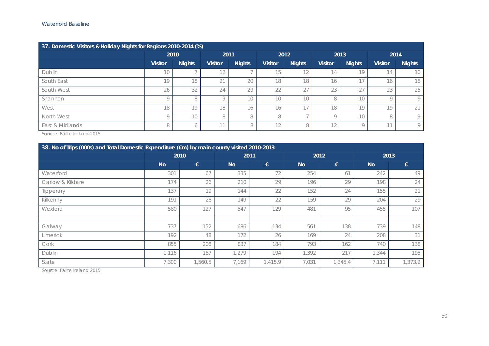| 37. Domestic Visitors & Holiday Nights for Regions 2010-2014 (%) |                |                                                  |          |                |               |                          |               |                |               |            |  |  |
|------------------------------------------------------------------|----------------|--------------------------------------------------|----------|----------------|---------------|--------------------------|---------------|----------------|---------------|------------|--|--|
|                                                                  |                | 2010                                             |          | 2011           |               | 2012                     |               | 2013           | 2014          |            |  |  |
|                                                                  | <b>Visitor</b> | <b>Nights</b><br><b>Visitor</b><br><b>Nights</b> |          | <b>Visitor</b> | <b>Nights</b> | <b>Visitor</b>           | <b>Nights</b> | <b>Visitor</b> | <b>Nights</b> |            |  |  |
| Dublin                                                           | 10             |                                                  | I Z.     |                | 15            | 12                       | 14            | 19             | 14            | 10         |  |  |
| South East                                                       | 19             | 18                                               | 21<br>∠∣ | 20             | 18            | 18                       | 16            |                | 16            | 18         |  |  |
| South West                                                       | 26             | 32                                               | 24       | 29             | 22            | $\cap$ $\top$            | 23            | 27<br>$\angle$ | 23            | 25         |  |  |
| Shannon                                                          |                | 8                                                | Ω        | 10             | 10            | 10                       | 8             | 10             | $\circ$       | $\bigcirc$ |  |  |
| West                                                             | 18             | 19                                               | 18       | 16             | 16            | $\overline{ }$           | 18            | 19             | 19            | 21         |  |  |
| North West                                                       | $\Omega$       | 10                                               | 8        | 8              | 8             | $\overline{\phantom{a}}$ |               | 10             | 8             | $\bigcirc$ |  |  |
| East & Midlands                                                  | 8              | <sub>b</sub>                                     | 11       | 8              | 12            | 8                        | 12            |                | 11            | $\bigcirc$ |  |  |

Source: Fáilte Ireland 2015

| 38. No of Trips (000s) and Total Domestic Expenditure (€m) by main county visited 2010-2013 |           |         |           |         |           |         |           |         |  |  |  |
|---------------------------------------------------------------------------------------------|-----------|---------|-----------|---------|-----------|---------|-----------|---------|--|--|--|
|                                                                                             | 2010      |         | 2011      |         |           | 2012    | 2013      |         |  |  |  |
|                                                                                             | <b>No</b> | €       | <b>No</b> | €       | <b>No</b> | €       | <b>No</b> | €       |  |  |  |
| Waterford                                                                                   | 301       | 67      | 335       | 72      | 254       | 61      | 242       | 49      |  |  |  |
| Carlow & Kildare                                                                            | 174       | 26      | 210       | 29      | 196       | 29      | 198       | 24      |  |  |  |
| Tipperary                                                                                   | 137       | 19      | 144       | 22      | 152       | 24      | 155       | 21      |  |  |  |
| Kilkenny                                                                                    | 191       | 28      | 149       | 22      | 159       | 29      | 204       | 29      |  |  |  |
| Wexford                                                                                     | 580       | 127     | 547       | 129     | 481       | 95      | 455       | 107     |  |  |  |
|                                                                                             |           |         |           |         |           |         |           |         |  |  |  |
| Galway                                                                                      | 737       | 152     | 686       | 134     | 561       | 138     | 739       | 148     |  |  |  |
| Limerick                                                                                    | 192       | 48      | 172       | 26      | 169       | 24      | 208       | 31      |  |  |  |
| Cork                                                                                        | 855       | 208     | 837       | 184     | 793       | 162     | 740       | 138     |  |  |  |
| Dublin                                                                                      | 1,116     | 187     | 1.279     | 194     | 1,392     | 217     | 1,344     | 195     |  |  |  |
| State                                                                                       | 7,300     | 1,560.5 | 7,169     | 1,415.9 | 7,031     | 1,345.4 | 7,111     | 1,373.2 |  |  |  |

Source: Fáilte Ireland 2015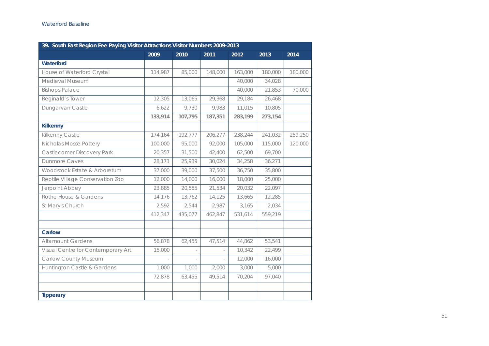| 39. South East Region Fee Paying Visitor Attractions Visitor Numbers 2009-2013 |         |         |         |         |         |         |
|--------------------------------------------------------------------------------|---------|---------|---------|---------|---------|---------|
|                                                                                | 2009    | 2010    | 2011    | 2012    | 2013    | 2014    |
| Waterford                                                                      |         |         |         |         |         |         |
| House of Waterford Crystal                                                     | 114,987 | 85,000  | 148,000 | 163,000 | 180,000 | 180,000 |
| Medieval Museum                                                                |         |         |         | 40,000  | 34,028  |         |
| <b>Bishops Palace</b>                                                          |         |         |         | 40,000  | 21,853  | 70,000  |
| Reginald's Tower                                                               | 12,305  | 13,065  | 29,368  | 29,184  | 26,468  |         |
| Dungarvan Castle                                                               | 6,622   | 9,730   | 9,983   | 11,015  | 10,805  |         |
|                                                                                | 133,914 | 107,795 | 187,351 | 283,199 | 273,154 |         |
| <b>Kilkenny</b>                                                                |         |         |         |         |         |         |
| Kilkenny Castle                                                                | 174,164 | 192,777 | 206,277 | 238,244 | 241,032 | 259,250 |
| Nicholas Mosse Pottery                                                         | 100,000 | 95,000  | 92,000  | 105,000 | 115,000 | 120,000 |
| Castlecomer Discovery Park                                                     | 20,357  | 31,500  | 42,400  | 62,500  | 69,700  |         |
| <b>Dunmore Caves</b>                                                           | 28,173  | 25,939  | 30,024  | 34,258  | 36,271  |         |
| Woodstock Estate & Arboretum                                                   | 37,000  | 39,000  | 37,500  | 36,750  | 35,800  |         |
| Reptile Village Conservation Zoo                                               | 12,000  | 14,000  | 16,000  | 18,000  | 25,000  |         |
| Jerpoint Abbey                                                                 | 23,885  | 20,555  | 21,534  | 20,032  | 22,097  |         |
| Rothe House & Gardens                                                          | 14,176  | 13,762  | 14,125  | 13,665  | 12,285  |         |
| St Mary's Church                                                               | 2,592   | 2,544   | 2,987   | 3,165   | 2,034   |         |
|                                                                                | 412,347 | 435,077 | 462,847 | 531,614 | 559,219 |         |
| Carlow                                                                         |         |         |         |         |         |         |
| <b>Altamount Gardens</b>                                                       | 56,878  | 62,455  | 47,514  | 44,862  | 53,541  |         |
| Visual Centre for Contemporary Art                                             | 15,000  |         |         | 10,342  | 22,499  |         |
| <b>Carlow County Museum</b>                                                    |         |         |         | 12,000  | 16,000  |         |
| Huntington Castle & Gardens                                                    | 1,000   | 1,000   | 2,000   | 3,000   | 5,000   |         |
|                                                                                | 72,878  | 63,455  | 49,514  | 70,204  | 97,040  |         |
|                                                                                |         |         |         |         |         |         |
| <b>Tipperary</b>                                                               |         |         |         |         |         |         |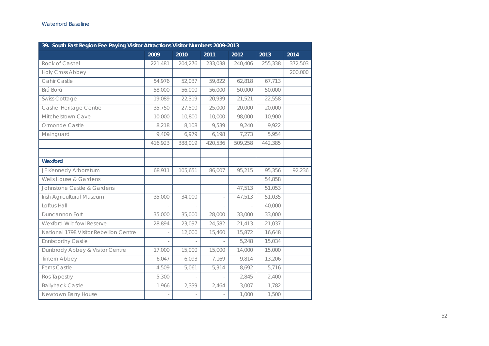| 39. South East Region Fee Paying Visitor Attractions Visitor Numbers 2009-2013 |         |                          |         |         |         |         |
|--------------------------------------------------------------------------------|---------|--------------------------|---------|---------|---------|---------|
|                                                                                | 2009    | 2010                     | 2011    | 2012    | 2013    | 2014    |
| Rock of Cashel                                                                 | 221,481 | 204,276                  | 233,038 | 240,406 | 255,338 | 372,503 |
| Holy Cross Abbey                                                               |         |                          |         |         |         | 200,000 |
| Cahir Castle                                                                   | 54,976  | 52,037                   | 59,822  | 62,818  | 67,713  |         |
| Brú Ború                                                                       | 58,000  | 56,000                   | 56,000  | 50,000  | 50,000  |         |
| <b>Swiss Cottage</b>                                                           | 19,089  | 22,319                   | 20,939  | 21,521  | 22,558  |         |
| Cashel Heritage Centre                                                         | 35,750  | 27,500                   | 25,000  | 20,000  | 20,000  |         |
| Mitchelstown Cave                                                              | 10,000  | 10,800                   | 10,000  | 98,000  | 10,900  |         |
| Ormonde Castle                                                                 | 8,218   | 8,108                    | 9,539   | 9,240   | 9,922   |         |
| Mainguard                                                                      | 9,409   | 6,979                    | 6,198   | 7,273   | 5,954   |         |
|                                                                                | 416,923 | 388,019                  | 420,536 | 509,258 | 442,385 |         |
|                                                                                |         |                          |         |         |         |         |
| Wexford                                                                        |         |                          |         |         |         |         |
| JF Kennedy Arboretum                                                           | 68,911  | 105,651                  | 86,007  | 95,215  | 95,356  | 92,236  |
| Wells House & Gardens                                                          |         |                          |         |         | 54,858  |         |
| Johnstone Castle & Gardens                                                     |         |                          |         | 47,513  | 51,053  |         |
| Irish Agricultural Museum                                                      | 35,000  | 34,000                   |         | 47,513  | 51,035  |         |
| Loftus Hall                                                                    | ÷.      | $\overline{\phantom{a}}$ | ÷       |         | 40,000  |         |
| Duncannon Fort                                                                 | 35,000  | 35,000                   | 28,000  | 33,000  | 33,000  |         |
| Wexford Wildfowl Reserve                                                       | 28,894  | 23,097                   | 24,582  | 21,413  | 21,037  |         |
| National 1798 Visitor Rebellion Centre                                         |         | 12,000                   | 15,460  | 15,872  | 16,648  |         |
| <b>Enniscorthy Castle</b>                                                      |         |                          |         | 5,248   | 15,034  |         |
| Dunbrody Abbey & Visitor Centre                                                | 17,000  | 15,000                   | 15,000  | 14,000  | 15,000  |         |
| <b>Tintern Abbey</b>                                                           | 6,047   | 6,093                    | 7,169   | 9,814   | 13,206  |         |
| <b>Ferns Castle</b>                                                            | 4,509   | 5,061                    | 5,314   | 8,692   | 5,716   |         |
| Ros Tapestry                                                                   | 5,300   | ÷,                       |         | 2,845   | 2,400   |         |
| <b>Ballyhack Castle</b>                                                        | 1,966   | 2,339                    | 2,464   | 3,007   | 1,782   |         |
| Newtown Barry House                                                            |         |                          |         | 1,000   | 1,500   |         |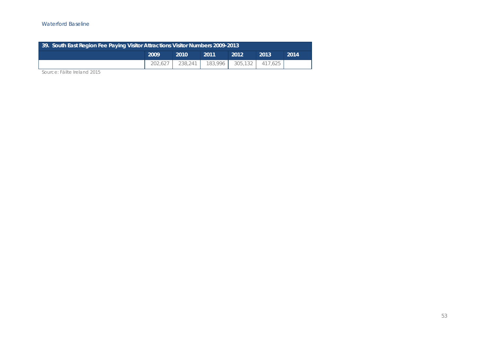#### Waterford Baseline

| 39. South East Region Fee Paying Visitor Attractions Visitor Numbers 2009-2013 |      |      |      |      |      |      |  |  |  |  |
|--------------------------------------------------------------------------------|------|------|------|------|------|------|--|--|--|--|
|                                                                                | 2009 | 2010 | 2011 | 2012 | 2013 | 2014 |  |  |  |  |
| 202,627   238,241   183,996   305,132   417,625                                |      |      |      |      |      |      |  |  |  |  |

Source: Fáilte Ireland 2015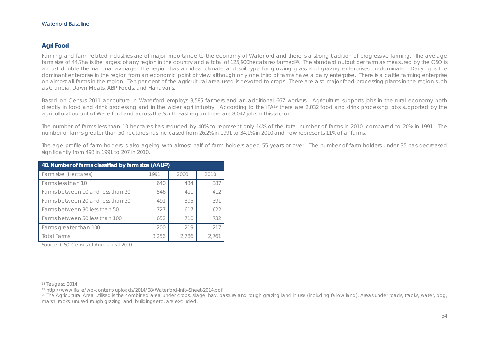## **Agri Food**

Farming and farm related industries are of major importance to the economy of Waterford and there is a strong tradition of progressive farming. The average farm size of 44.7ha is the largest of any region in the country and a total of 125,900hecatares farmed<sup>18</sup>. The standard output per farm as measured by the CSO is almost double the national average. The region has an ideal climate and soil type for growing grass and grazing enterprises predominate. Dairying is the dominant enterprise in the region from an economic point of view although only one third of farms have a dairy enterprise. There is a cattle farming enterprise on almost all farms in the region. Ten per cent of the agricultural area used is devoted to crops. There are also major food processing plants in the region such as Glanbia, Dawn Meats, ABP Foods, and Flahavans.

Based on Census 2011 agriculture in Waterford employs 3,585 farmers and an additional 667 workers. Agriculture supports jobs in the rural economy both directly in food and drink processing and in the wider agri industry. According to the IFA<sup>19</sup> there are 2,032 food and drink processing jobs supported by the agricultural output of Waterford and across the South East region there are 8,042 jobs in this sector.

The number of farms less than 10 hectares has reduced by 40% to represent only 14% of the total number of farms in 2010, compared to 20% in 1991. The number of farms greater than 50 hectares has increased from 26.2% in 1991 to 34.1% in 2010 and now represents 11% of all farms.

The age profile of farm holders is also ageing with almost half of farm holders aged 55 years or over. The number of farm holders under 35 has decreased significantly from 493 in 1991 to 207 in 2010.

| 40. Number of farms classified by farm size (AAU <sup>20</sup> ) |       |       |       |  |  |  |  |  |  |  |
|------------------------------------------------------------------|-------|-------|-------|--|--|--|--|--|--|--|
| Farm size (Hectares)                                             | 1991  | 2000  | 2010  |  |  |  |  |  |  |  |
| Farms less than 10                                               | 640   | 434   | 387   |  |  |  |  |  |  |  |
| Farms between 10 and less than 20                                | 546   | 411   | 412   |  |  |  |  |  |  |  |
| Farms between 20 and less than 30                                | 491   | 395   | 391   |  |  |  |  |  |  |  |
| Farms between 30 less than 50                                    | 727   | 617   | 622   |  |  |  |  |  |  |  |
| Farms between 50 less than 100                                   | 652   | 710   | 732   |  |  |  |  |  |  |  |
| Farms greater than 100                                           | 200   | 219   | 217   |  |  |  |  |  |  |  |
| <b>Total Farms</b>                                               | 3,256 | 2.786 | 2.761 |  |  |  |  |  |  |  |

Source: CSO Census of Agricultural 2010

<sup>18</sup> Teagasc 2014

<sup>19</sup> http://www.ifa.ie/wp-content/uploads/2014/08/Waterford-Info-Sheet-2014.pdf

<sup>&</sup>lt;sup>20</sup> The Agricultural Area Utilised is the combined area under crops, silage, hay, pasture and rough grazing land in use (including fallow land). Areas under roads, tracks, water, bog, marsh, rocks, unused rough grazing land, buildings etc. are excluded.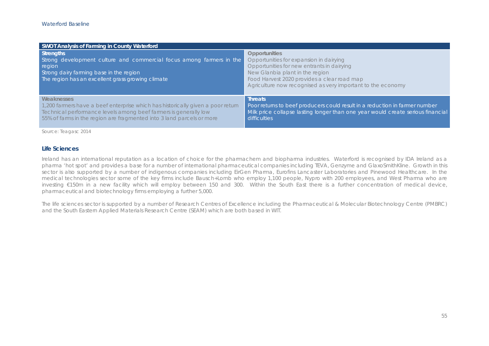| SWOT Analysis of Farming in County Waterford                                                                                                                                                                                               |                                                                                                                                                                                                                                                                |
|--------------------------------------------------------------------------------------------------------------------------------------------------------------------------------------------------------------------------------------------|----------------------------------------------------------------------------------------------------------------------------------------------------------------------------------------------------------------------------------------------------------------|
| Strengths<br>Strong development culture and commercial focus among farmers in the<br>region<br>Strong dairy farming base in the region<br>The region has an excellent grass growing climate                                                | <b>Opportunities</b><br>Opportunities for expansion in dairying<br>Opportunities for new entrants in dairying<br>New Glanbia plant in the region<br>Food Harvest 2020 provides a clear road map<br>Agriculture now recognised as very important to the economy |
| Weaknesses<br>1,200 farmers have a beef enterprise which has historically given a poor return<br>Technical performance levels among beef farmers is generally low<br>55% of farms in the region are fragmented into 3 land parcels or more | <b>Threats</b><br>Poor returns to beef producers could result in a reduction in farmer number<br>Milk price collapse lasting longer than one year would create serious financial<br>difficulties                                                               |

Source: Teagasc 2014

#### **Life Sciences**

Ireland has an international reputation as a location of choice for the pharmachem and biopharma industries. Waterford is recognised by IDA Ireland as a pharma 'hot spot' and provides a base for a number of international pharmaceutical companies including TEVA, Genzyme and GlaxoSmithKline. Growth in this sector is also supported by a number of indigenous companies including EirGen Pharma, Eurofins Lancaster Laboratories and Pinewood Healthcare. In the medical technologies sector some of the key firms include Bausch+Lomb who employ 1,100 people, Nypro with 200 employees, and West Pharma who are investing €150m in a new facility which will employ between 150 and 300. Within the South East there is a further concentration of medical device, pharmaceutical and biotechnology firms employing a further 5,000.

The life sciences sector is supported by a number of Research Centres of Excellence including the Pharmaceutical & Molecular Biotechnology Centre (PMBRC) and the South Eastern Applied Materials Research Centre (SEAM) which are both based in WIT.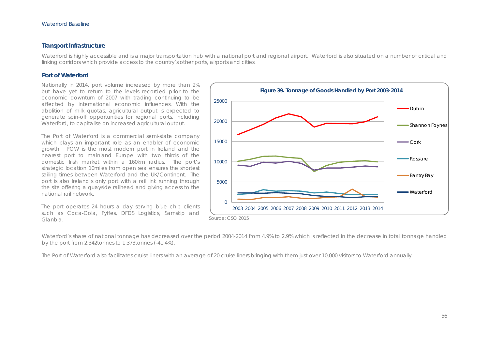#### **Transport Infrastructure**

Waterford is highly accessible and is a major transportation hub with a national port and regional airport. Waterford is also situated on a number of critical and linking corridors which provide access to the country's other ports, airports and cities.

#### **Port of Waterford**

Nationally in 2014, port volume increased by more than 2% but have yet to return to the levels recorded prior to the economic downturn of 2007 with trading continuing to be affected by international economic influences. With the abolition of milk quotas, agricultural output is expected to generate spin-off opportunities for regional ports, including Waterford, to capitalise on increased agricultural output.

The Port of Waterford is a commercial semi-state company which plays an important role as an enabler of economic growth. POW is the most modern port in Ireland and the nearest port to mainland Europe with two thirds of the domestic Irish market within a 160km radius. The port's strategic location 10miles from open sea ensures the shortest sailing times between Waterford and the UK/Continent. The port is also Ireland's only port with a rail link running through the site offering a quayside railhead and giving access to the national rail network.

The port operates 24 hours a day serving blue chip clients such as Coca-Cola, Fyffes, DFDS Logistics, Samskip and Glanbia.



Waterford's share of national tonnage has decreased over the period 2004-2014 from 4.9% to 2.9% which is reflected in the decrease in total tonnage handled by the port from 2,342tonnes to 1,373tonnes (-41.4%).

The Port of Waterford also facilitates cruise liners with an average of 20 cruise liners bringing with them just over 10,000 visitors to Waterford annually.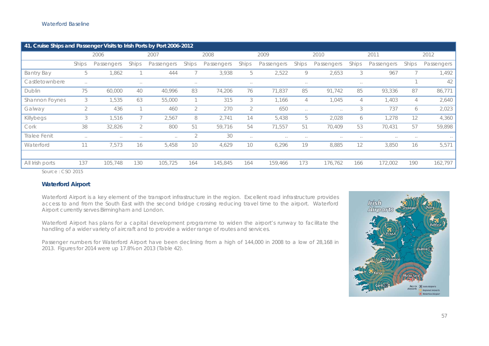| 41. Cruise Ships and Passenger Visits to Irish Ports by Port 2006-2012 |          |            |              |            |                |            |          |            |               |               |          |            |          |            |  |
|------------------------------------------------------------------------|----------|------------|--------------|------------|----------------|------------|----------|------------|---------------|---------------|----------|------------|----------|------------|--|
|                                                                        |          | 2006       |              | 2007       |                | 2008       |          | 2009       | 2010          |               |          | 2011       |          | 2012       |  |
|                                                                        | Ships    | Passengers | <b>Ships</b> | Passengers | Ships          | Passengers | Ships    | Passengers | Ships         | Passengers    | Ships    | Passengers | Ships    | Passengers |  |
| <b>Bantry Bay</b>                                                      | 5        | 1,862      |              | 444        |                | 3,938      | 5        | 2,522      | 9             | 2,653         | 3        | 967        |          | 1,492      |  |
| Castletownbere                                                         | $\cdots$ |            | $\cdots$     |            | $\sim$         |            | $\cdots$ |            | $\cdots$      |               | $\cdots$ |            |          | 42         |  |
| Dublin                                                                 | 75       | 60,000     | 40           | 40,996     | 83             | 74,206     | 76       | 71,837     | 85            | 91,742        | 85       | 93,336     | 87       | 86,771     |  |
| Shannon Foynes                                                         | 3        | 1,535      | 63           | 55,000     |                | 315        | 3        | 1,166      | 4             | 1,045         | 4        | 1,403      | 4        | 2,640      |  |
| Galway                                                                 | 2        | 436        |              | 460        | 2              | 270        | 2        | 650        | $\sim$ $\sim$ | $\sim$ $\sim$ | 3        | 737        | 6        | 2,023      |  |
| Killybegs                                                              | 3        | 1,516      |              | 2,567      | 8              | 2,741      | 14       | 5,438      | b             | 2,028         | 6        | 1,278      | 12       | 4,360      |  |
| Cork                                                                   | 38       | 32,826     | 2            | 800        | 51             | 59,716     | 54       | 71,557     | 51            | 70,409        | 53       | 70,431     | 57       | 59,898     |  |
| <b>Tralee Fenit</b>                                                    | $\cdots$ | $\cdots$   | $\cdots$     | $\cdots$   | $\overline{2}$ | 30         | $\sim$   | $\cdots$   | $\cdots$      | $\cdots$      | $\cdots$ | $\cdots$   | $\cdots$ | $\sim$     |  |
| Waterford                                                              | 11       | 7,573      | 16           | 5,458      | 10             | 4,629      | 10       | 6,296      | 19            | 8,885         | 12       | 3,850      | 16       | 5,571      |  |
|                                                                        |          |            |              |            |                |            |          |            |               |               |          |            |          |            |  |
| All Irish ports                                                        | 137      | 105,748    | 130          | 105,725    | 164            | 145,845    | 164      | 159,466    | 173           | 176,762       | 166      | 172,002    | 190      | 162,797    |  |
| Source: CSO 2015                                                       |          |            |              |            |                |            |          |            |               |               |          |            |          |            |  |

## **Waterford Airport**

Waterford Airport is a key element of the transport infrastructure in the region. Excellent road infrastructure provides access to and from the South East with the second bridge crossing reducing travel time to the airport. Waterford Airport currently serves Birmingham and London.

Waterford Airport has plans for a capital development programme to widen the airport's runway to facilitate the handling of a wider variety of aircraft and to provide a wider range of routes and services.

Passenger numbers for Waterford Airport have been declining from a high of 144,000 in 2008 to a low of 28,168 in 2013. Figures for 2014 were up 17.8% on 2013 (Table 42).